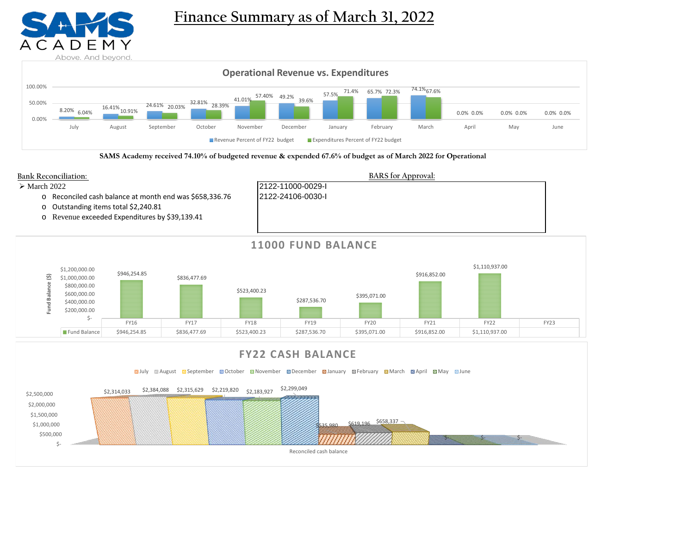

# **Finance Summary as of March 31, 2022**



**SAMS Academy received 74.10% of budgeted revenue & expended 67.6% of budget as of March 2022 for Operational**



**Sauly Saugust September Soctober Soldwember Solder Stanuary September Stanuary Standard April Solday Stune** 

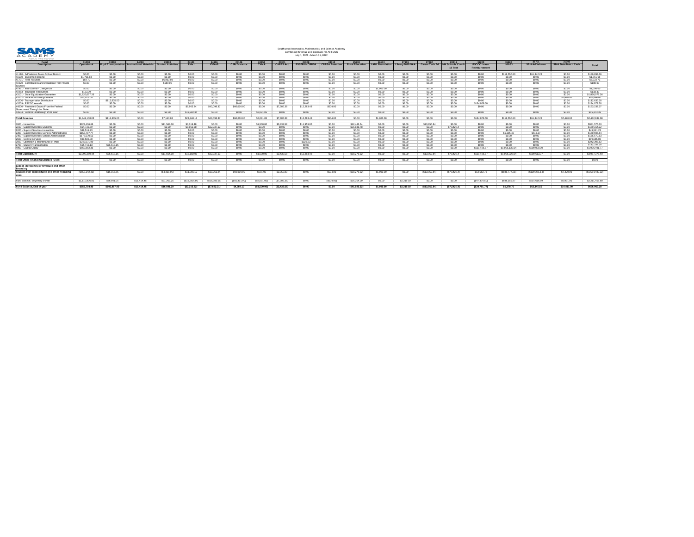

| ADOVE. AHU DEYONU.<br><u>Fund</u>                            | 11000              | 13000                       | <u> 14000 </u>                 | <u>23000</u>     | 24101          | 24106         | 24146               | 24154           | 24301            | 24308                   | 24312                  | <u>25233</u>           | 26113           | <u>27109</u>     | 27502                 | 28211                | 31200              | 31600          |                        | 31703                        |                  |
|--------------------------------------------------------------|--------------------|-----------------------------|--------------------------------|------------------|----------------|---------------|---------------------|-----------------|------------------|-------------------------|------------------------|------------------------|-----------------|------------------|-----------------------|----------------------|--------------------|----------------|------------------------|------------------------------|------------------|
| <b>Description</b>                                           | <b>Operational</b> | <b>Pupil Transportation</b> | <b>Instructional Materials</b> | udent Activities | <b>Title I</b> | <b>IDEA-B</b> | <b>CSP/Distance</b> | <b>Title II</b> | <b>CARES Act</b> | <b>ESSER II - CRRSA</b> | <b>CRRSA Retentior</b> | <b>Rural Education</b> | LANL Foundation | Library 2019 GAA | <b>Career Tech Ed</b> | <b>Schools Covid</b> | <b>PSCOC Lease</b> | <b>HB-33</b>   | <b>SB-9 Ad Valorem</b> | <b>SB-9 State Match Cash</b> | <b>Total</b>     |
|                                                              |                    |                             |                                |                  |                |               |                     |                 |                  |                         |                        |                        |                 |                  |                       | <b>19 Test</b>       | Reimbursement      |                |                        |                              |                  |
|                                                              |                    |                             |                                |                  |                |               |                     |                 |                  |                         |                        |                        |                 |                  |                       |                      |                    |                |                        |                              |                  |
| 41110 - Ad Valorem Taxes School District                     | \$0.00             | \$0.00                      | \$0.00                         | \$0.00           | \$0.00         | \$0.00        | \$0.00              | \$0.00          | \$0.00           | \$0.00                  | \$0.00                 | \$0.00                 | \$0.00          | \$0.00           | \$0.00                | \$0.00               | \$0.00             | \$119,550.83   | \$61,342.23            | \$0.00                       | \$180,893.06     |
| 41500 - Investment Income                                    | \$1,761.68         | \$0.00                      | \$0.00                         | \$0.00           | \$0.00         | \$0.00        | \$0.00              | \$0.00          | \$0.00           | \$0.00                  | \$0.00                 | \$0.00                 | \$0.00          | \$0.00           | \$0.00                | \$0.00               | \$0.00             | \$0.00         | \$0.00                 | \$0.00                       | \$1,761.68       |
| $ 41701 -$ Fees Activities                                   | \$59.70            | \$0.00                      | \$0.00                         | \$6,963.0        | \$0.00         | \$0.00        | \$0.00              | \$0.00          | \$0.00           | \$0.00                  | \$0.00                 | \$0.00                 | \$0.00          | \$0.00           | \$0.00                | \$0.00               | \$0.00             | \$0.00         | \$0.00                 | \$0.00                       | \$7,022.73       |
| 41920 - Contributions and Donations From Private<br> Sources | \$0.00             | \$0.00                      | \$0.00                         | \$180.00         | \$0.00         | \$0.00        | \$0.00              | \$0.00          | \$0.00           | \$0.00                  | \$0.00                 | \$0.00                 | \$0.00          | \$0.00           | \$0.00                | \$0.00               | \$0.00             | \$0.00         | \$0.00                 | \$0.00                       | \$180.00         |
| 41921 - Instructional - Categorical                          | \$0.00             | \$0.00                      | \$0.00                         | \$0.00           | \$0.00         | \$0.00        | \$0.00              | \$0.00          | \$0.00           | \$0.00                  | \$0.00                 | \$0.00                 | \$1,000.00      | \$0.00           | \$0.00                | \$0.00               | \$0.00             | \$0.00         | \$0.00                 | \$0.00                       | \$1,000.00       |
| 41953 - Insurance Recoveries                                 | \$133.39           | \$0.00                      | \$0.00                         |                  | \$0.00         |               | \$0.00              | \$0.00          |                  |                         | \$0.00                 |                        | \$0.00          | \$0.00           | \$0.00                | \$0.00               | \$0.00             | \$0.00         | \$0.00                 | \$0.00                       | \$133.39         |
| 43101 - State Equalization Guarantee                         | \$1,826,077.26     | \$0.00                      |                                |                  | \$0.00         |               | \$0.00              |                 |                  | \$0.00                  | \$0.00                 |                        | \$0.00          | \$0.00           | \$0.00                |                      | \$0.00             | \$0.00         | \$0.00                 | \$0.00                       | \$1,826,077.26   |
| 43202 - State Flow-Through Grants                            | \$13,076.00        | \$0.00                      | \$0.00                         | \$0.00           | \$0.00         |               | \$0.00              |                 |                  |                         | \$0.00                 | \$0.00                 | \$0.00          | \$0.00           | \$0.00                | \$0.00               | \$0.00             | \$0.00         | \$0.00                 | \$7,420.00                   | \$20,496.00      |
| 43206 - Transportation Distribution                          | \$0.00             | \$112,635.00                | \$0.00                         |                  | \$0.00         |               | \$0.00              |                 |                  |                         | \$0.00                 |                        |                 | \$0.00           | \$0.00                | \$0.00               | \$0.00             | \$0.00         | \$0.00                 | \$0.00                       | \$112,635.00     |
| 43209 - PSCOC Awards                                         | \$0.00             | \$0.00                      | \$0.00                         |                  | \$0.00         | \$0.00        | \$0.00              | \$0.00          |                  |                         | \$0.00                 | \$0.00                 | \$0.00          | \$0.00           | \$0.00                | \$0.00               | \$134,079.50       | \$0.00         | \$0.00                 | \$0.00                       | \$134,079.50     |
| 44500 - Restricted Grants From the Federal                   | \$0.00             | \$0.00                      | \$0.00                         | \$0.00           | \$9,965.84     | \$43,098.37   | \$60,000.00         | \$0.00          | \$7,385.38       | \$12,283.48             | \$504.00               | \$0.00                 | \$0.00          | \$0.00           | \$0.00                | \$0.00               | \$0.00             | \$0.00         | \$0.00                 | \$0.00                       | \$133,237.07     |
| Government Through the State                                 |                    |                             |                                |                  |                |               |                     |                 |                  |                         |                        |                        |                 |                  |                       |                      |                    |                |                        |                              |                  |
| 44504 - Federal Flowthrough Prior Year                       | \$0.00             | \$0.00                      | \$0.00                         | \$0.00           | \$13,282.34    | \$0.00        | \$0.00              | \$2,091.05      | \$0.00           | \$0.00                  | \$0.00                 | \$0.00                 | \$0.00          | \$0.00           | \$0.00                | \$0.00               | \$0.00             | \$0.00         | \$0.00                 | \$0.00                       | \$15,373.39      |
| <b>Total Revenue</b>                                         | \$1,841,108.03     | \$112,635.00                | \$0.00                         | \$7,143.03       | \$23,248.18    | \$43,098.37   | \$60,000.00         | \$2,091.05      | \$7,385.38       | \$12,283.48             | \$504.00               | \$0.00                 | \$1,000.00      | \$0.00           | \$0.00                | \$0.00               | \$134,079.50       | \$119,550.83   | \$61,342.23            | \$7,420.00                   | \$2,432,889.08   |
|                                                              |                    |                             |                                |                  |                |               |                     |                 |                  |                         |                        |                        |                 |                  |                       |                      |                    |                |                        |                              |                  |
| 1000 - Instruction                                           | \$923,406.66       |                             | \$0.00                         | \$11,564.08      | \$3,319.48     | \$0.00        | \$0.00              | \$1,500.00      | \$3,432.58       | \$11,959.85             | \$0.00                 | \$12,442.54            | \$0.00          | \$0.00           | \$13,950.84           | \$0.00               |                    | \$0.00         | \$0.00                 |                              | \$981,576.03     |
| 2100 - Support Services-Students                             | \$64,735.69        | \$0.00                      | \$0.00                         | \$0.00           | \$8,862.58     | \$32,337.1    | \$0.00              | \$0.00          | \$0.00           | \$0.00                  | \$0.00                 | \$55,836.78            | \$0.00          | \$0.00           | \$0.00                | \$7,542.14           | \$0.00             | \$0.00         | \$0.00                 | \$0.00                       | \$169,314.32     |
| 2200 - Support Services-Instruction                          | \$49,511.23        | \$0.00                      | \$0.00                         |                  | \$0.00         | 60.O          | \$0.00              | \$0.00          |                  |                         | \$0.00                 | 0.005                  | \$0.00          | \$0.00           | \$0.00                | \$0.00               | \$0.00             | \$0.00         | \$0.00                 | \$0.00                       | \$49,511.23      |
| 2300 - Support Services-General Administration               | \$158,787.77       | \$0.00                      | \$0.00                         |                  | \$0.00         |               | \$0.00              | \$0.00          |                  | \$0.00                  | \$0.00                 | 0.005                  | \$0.00          | \$0.00           | \$0.00                | \$0.00               | \$0.00             | \$1,195.40     | \$613.37               | \$0.00                       | \$160,596.54     |
| 2400 - Support Services-School Administration                | \$175,570.53       | \$0.00                      | \$0.00                         | \$0.00           | \$0.00         | \$0.00        | \$0.00              | \$0.00          | \$0.00           | \$0.00                  | \$0.00                 | \$0.00                 | \$0.00          | \$0.00           | \$0.00                | \$0.00               | \$0.00             | \$0.00         | \$0.00                 | \$0.00                       | \$175,570.53     |
| 2500 - Central Services                                      | \$99,585.08        | 0.00                        | \$0.00                         |                  | \$0.00         |               | \$0.00              | \$0.0C          |                  |                         | \$0.00                 |                        | \$0.00          | \$0.00           | \$0.00                | \$0.00               | \$0.00             | \$0.00         | \$0.00                 | \$0.00                       | \$99,585.08      |
| 2600 - Operation & Maintenance of Plant                      | \$242,071.99       | \$0.00                      | \$0.00                         |                  | \$0.00         |               | \$0.00              | 0.001           |                  | \$323.63                | \$0.00                 | 0.005                  | \$0.00          | \$0.00           | \$0.00                | \$0.00               | \$0.00             | \$0.00         | \$0.00                 | \$0.00                       | \$242,395.62     |
| 2700 - Student Transportation                                | \$15,719.13        | \$96,618.1                  | \$0.00                         | \$0.00           | \$0.00         | \$0.00        | \$0.00              | \$0.00          |                  | \$0.00                  | \$0.00                 | \$0.00\$               | \$0.00          | \$0.00           | \$0.00                | \$0.00               | \$0.00             | \$0.00         | \$0.00                 | \$0.00                       | \$112,337.28     |
| $ 4000 -$ Capital Outlay                                     | \$669,862.36       | \$0.00                      | \$0.00                         | \$0.00           | \$0.00         | \$0.00        | \$0.00              | 0.001           |                  | \$0.00                  | \$0.00                 | 0.001                  | \$0.00          | \$0.00           | \$0.00                | \$0.00               | \$121,496.77       | \$1,005,132.64 | \$200,000.00           | \$0.00                       | \$1,996,491.77   |
| <b>Total Expenditure</b>                                     | \$2,399,250.44     | \$96,618.15                 | \$0.00                         | \$11,564.08      | \$12,182.06    | \$32,337.13   | \$0.00              | \$1,500.00      | \$3,432.58       | \$12,283.48             | \$0.00                 | \$68,279.32            | \$0.00          | \$0.00           | \$13,950.84           | \$7,542.14           | \$121,496.77       | \$1,006,328.04 | \$200,613.37           | \$0.00                       | \$3,987,378.40   |
| <b>Total Other Financing Sources (Uses)</b>                  | \$0.00             | \$0.00                      | \$0.00                         | \$0.00           | \$0.00         | $\$0.00$      | \$0.00              | $\$0.00$        | \$0.00           | \$0.00                  | \$0.00                 | \$0.00                 | \$0.00          | \$0.00           | \$0.00                | \$0.00               | \$0.00             | \$0.00         | \$0.00                 | \$0.00                       | \$0.00           |
| <b>Excess (deficiency) of revenues and other</b>             |                    |                             |                                |                  |                |               |                     |                 |                  |                         |                        |                        |                 |                  |                       |                      |                    |                |                        |                              |                  |
| <b>financing</b>                                             |                    |                             |                                |                  |                |               |                     |                 |                  |                         |                        |                        |                 |                  |                       |                      |                    |                |                        |                              |                  |
| sources over expenditures and other financing<br>uses        | (\$558,142.41)     | \$16,016.85                 | \$0.00                         | (\$4,421.05)     | \$11,066.12    | \$10,761.24   | \$60,000.00         | \$591.05        | \$3,952.80       | \$0.00                  | \$504.00               | (\$68,279.32)          | \$1,000.00      | \$0.00           | (\$13,950.84)         | (\$7,542.14)         | \$12,582.73        | (\$886,777.21) | (\$139,271.14)         | \$7,420.00                   | (\$1,554,489.32) |
| Fund Balance, Beginning of year                              | \$1,110,936.81     | \$86,841.0                  | \$11,414.45                    | \$21,262.25      | (\$13,282.34)  | \$18,383.5    | $(\$55,411.90)$     | (\$2,091.05)    | (\$7,385.38)     | \$0.00                  | (\$504.00)             | \$26,354.00            | \$0.00          | \$2,319.10       | \$0.00                | \$0.00               | (\$47,374.50)      | \$888,155.97   | \$201,616.69           | \$6,991.00                   | \$2,211,458.60   |
| <b>Fund Balance, End of year</b>                             | \$552,794.40       | \$102,857.90                | \$11,414.45                    | \$16,841.20      | (\$2,216.22)   | (\$7,622.31)  | \$4,588.10          | (\$1,500.00)    | (\$3,432.58)     | \$0.00                  | \$0.00                 | $($ \$41,925.32)       | \$1,000.00      | \$2,319.10       | (\$13,950.84)         | (\$7,542.14)         | (\$34,791.77)      | \$1,378.76     | \$62,345.55            | \$14,411.00                  | \$656,969.28     |
|                                                              |                    |                             |                                |                  |                |               |                     |                 |                  |                         |                        |                        |                 |                  |                       |                      |                    |                |                        |                              |                  |

# Southwest Aeronautics, Mathematics, and Science Academy Combining Revenue and Expenses for All Funds July 1, 2021 - March 31, 2022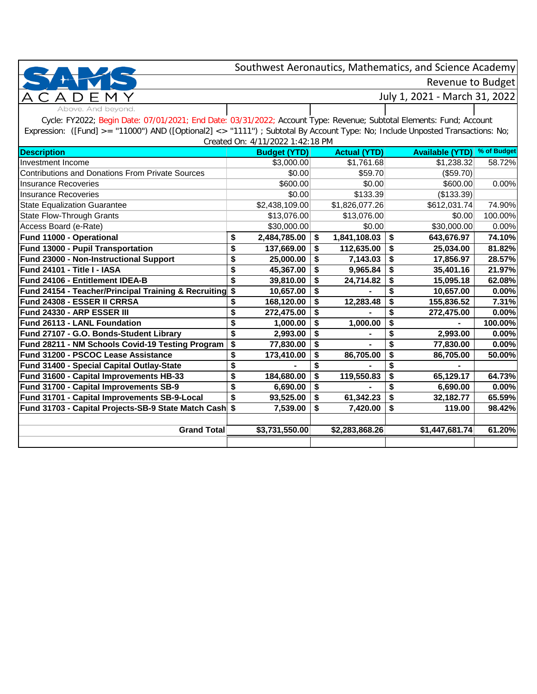Revenue to Budget

Ð

July 1, 2021 - March 31, 2022

Above. And beyond. Cycle: FY2022; Begin Date: 07/01/2021; End Date: 03/31/2022; Account Type: Revenue; Subtotal Elements: Fund; Account Expression: ([Fund] >= "11000") AND ([Optional2] <> "1111") ; Subtotal By Account Type: No; Include Unposted Transactions: No; Created On: 4/11/2022 1:42:18 PM

| Cleated OII. 4/ LI/2022 1.42.10 PM                      |    |                     |    |                     |    |                        |             |  |  |  |  |
|---------------------------------------------------------|----|---------------------|----|---------------------|----|------------------------|-------------|--|--|--|--|
| <b>Description</b>                                      |    | <b>Budget (YTD)</b> |    | <b>Actual (YTD)</b> |    | <b>Available (YTD)</b> | % of Budget |  |  |  |  |
| Investment Income                                       |    | \$3,000.00          |    | \$1,761.68          |    | \$1,238.32             | 58.72%      |  |  |  |  |
| <b>Contributions and Donations From Private Sources</b> |    | \$0.00              |    | \$59.70             |    | (\$59.70)              |             |  |  |  |  |
| <b>Insurance Recoveries</b>                             |    | \$600.00            |    | \$0.00              |    | \$600.00               | 0.00%       |  |  |  |  |
| <b>Insurance Recoveries</b>                             |    | \$0.00              |    | \$133.39            |    | (\$133.39)             |             |  |  |  |  |
| <b>State Equalization Guarantee</b>                     |    | \$2,438,109.00      |    | \$1,826,077.26      |    | \$612,031.74           | 74.90%      |  |  |  |  |
| <b>State Flow-Through Grants</b>                        |    | \$13,076.00         |    | \$13,076.00         |    | \$0.00                 | 100.00%     |  |  |  |  |
| Access Board (e-Rate)                                   |    | \$30,000.00         |    | \$0.00              |    | \$30,000.00            | 0.00%       |  |  |  |  |
| Fund 11000 - Operational                                | \$ | 2,484,785.00        | \$ | 1,841,108.03        | \$ | 643,676.97             | 74.10%      |  |  |  |  |
| Fund 13000 - Pupil Transportation                       | \$ | 137,669.00          |    | 112,635.00          | \$ | 25,034.00              | 81.82%      |  |  |  |  |
| Fund 23000 - Non-Instructional Support                  | \$ | 25,000.00           |    | 7,143.03            | \$ | 17,856.97              | 28.57%      |  |  |  |  |
| Fund 24101 - Title I - IASA                             | \$ | 45,367.00           |    | 9,965.84            | \$ | 35,401.16              | 21.97%      |  |  |  |  |
| Fund 24106 - Entitlement IDEA-B                         | \$ | 39,810.00           | \$ | 24,714.82           | \$ | 15,095.18              | 62.08%      |  |  |  |  |
| Fund 24154 - Teacher/Principal Training & Recruiting \$ |    | 10,657.00           | S  |                     | \$ | 10,657.00              | 0.00%       |  |  |  |  |
| Fund 24308 - ESSER II CRRSA                             | \$ | 168,120.00          |    | 12,283.48           |    | 155,836.52             | 7.31%       |  |  |  |  |
| Fund 24330 - ARP ESSER III                              | \$ | 272,475.00          |    |                     |    | 272,475.00             | 0.00%       |  |  |  |  |
| Fund 26113 - LANL Foundation                            | \$ | 1,000.00            |    | 1,000.00            | \$ |                        | 100.00%     |  |  |  |  |
| Fund 27107 - G.O. Bonds-Student Library                 | \$ | 2,993.00            |    |                     |    | 2,993.00               | 0.00%       |  |  |  |  |
| Fund 28211 - NM Schools Covid-19 Testing Program        | \$ | 77,830.00           |    |                     |    | 77,830.00              | 0.00%       |  |  |  |  |
| Fund 31200 - PSCOC Lease Assistance                     | \$ | 173,410.00          |    | 86,705.00           | \$ | 86,705.00              | 50.00%      |  |  |  |  |
| Fund 31400 - Special Capital Outlay-State               | \$ |                     |    |                     |    |                        |             |  |  |  |  |
| Fund 31600 - Capital Improvements HB-33                 | \$ | 184,680.00          |    | 119,550.83          | \$ | 65,129.17              | 64.73%      |  |  |  |  |
| Fund 31700 - Capital Improvements SB-9                  | \$ | 6,690.00            |    |                     | \$ | 6,690.00               | 0.00%       |  |  |  |  |
| Fund 31701 - Capital Improvements SB-9-Local            | \$ | 93,525.00           |    | 61,342.23           | \$ | 32,182.77              | 65.59%      |  |  |  |  |
| Fund 31703 - Capital Projects-SB-9 State Match Cash \$  |    | 7,539.00            | \$ | 7,420.00            | \$ | 119.00                 | 98.42%      |  |  |  |  |
|                                                         |    |                     |    |                     |    |                        |             |  |  |  |  |
| <b>Grand Total</b>                                      |    | \$3,731,550.00      |    | \$2,283,868.26      |    | \$1,447,681.74         | 61.20%      |  |  |  |  |
|                                                         |    |                     |    |                     |    |                        |             |  |  |  |  |
|                                                         |    |                     |    |                     |    |                        |             |  |  |  |  |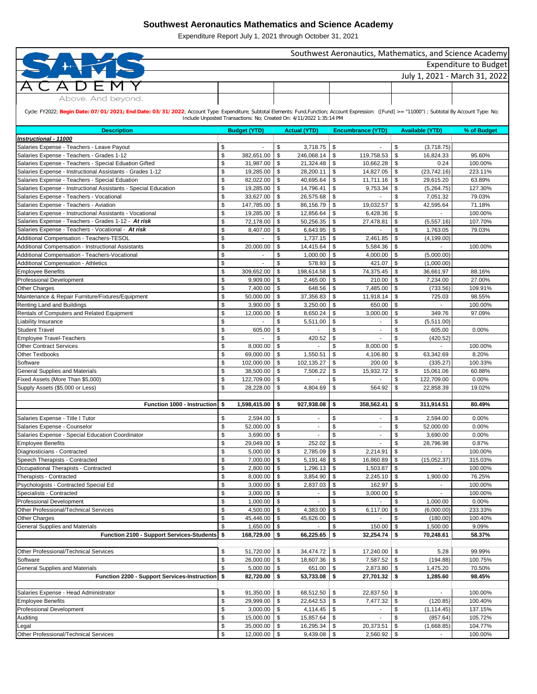|                                                                                                                                                                                                   |                         |                        |                               |                                                                     |                            |                          |                           |                          | Southwest Aeronautics, Mathematics, and Science Academy |  |  |
|---------------------------------------------------------------------------------------------------------------------------------------------------------------------------------------------------|-------------------------|------------------------|-------------------------------|---------------------------------------------------------------------|----------------------------|--------------------------|---------------------------|--------------------------|---------------------------------------------------------|--|--|
| Expenditure to Budget                                                                                                                                                                             |                         |                        |                               |                                                                     |                            |                          |                           |                          |                                                         |  |  |
|                                                                                                                                                                                                   |                         |                        |                               |                                                                     |                            |                          |                           |                          |                                                         |  |  |
|                                                                                                                                                                                                   |                         |                        |                               |                                                                     |                            |                          |                           |                          | July 1, 2021 - March 31, 2022                           |  |  |
|                                                                                                                                                                                                   |                         |                        |                               |                                                                     |                            |                          |                           |                          |                                                         |  |  |
| Above. And beyond.                                                                                                                                                                                |                         |                        |                               |                                                                     |                            |                          |                           |                          |                                                         |  |  |
|                                                                                                                                                                                                   |                         |                        |                               |                                                                     |                            |                          |                           |                          |                                                         |  |  |
| Cycle: FY2022; Begin Date: 07/01/2021; End Date: 03/31/2022; Account Type: Expenditure; Subtotal Elements: Fund,Function; Account Expression: ([Fund] >= "11000") ; Subtotal By Account Type: No; |                         |                        |                               |                                                                     |                            |                          |                           |                          |                                                         |  |  |
|                                                                                                                                                                                                   |                         |                        |                               | Include Unposted Transactions: No; Created On: 4/11/2022 1:35:14 PM |                            |                          |                           |                          |                                                         |  |  |
| <b>Description</b>                                                                                                                                                                                |                         | <b>Budget (YTD)</b>    |                               | <b>Actual (YTD)</b>                                                 |                            | <b>Encumbrance (YTD)</b> |                           | <b>Available (YTD)</b>   | % of Budget                                             |  |  |
| Instructional - 11000                                                                                                                                                                             |                         |                        |                               |                                                                     |                            |                          |                           |                          |                                                         |  |  |
| Salaries Expense - Teachers - Leave Payout                                                                                                                                                        | \$                      |                        | \$                            | 3,718.75                                                            | \$                         |                          | \$                        | (3,718.75)               |                                                         |  |  |
| Salaries Expense - Teachers - Grades 1-12                                                                                                                                                         | \$                      | 382,651.00             | \$                            | 246,068.14                                                          | \$                         | 119,758.53               | \$                        | 16,824.33                | 95.60%                                                  |  |  |
| Salaries Expense - Teachers - Special Eduation Gifted                                                                                                                                             | \$                      | 31,987.00              | -\$                           | 21,324.48                                                           | \$                         | 10,662.28                | -\$                       | 0.24                     | 100.00%                                                 |  |  |
| Salaries Expense - Instructional Assistants - Grades 1-12                                                                                                                                         | \$                      | 19,285.00              | -\$                           | 28,200.11                                                           | \$                         | 14,827.05                | - \$                      | (23,742.16)              | 223.11%                                                 |  |  |
| Salaries Expense - Teachers - Special Eduation                                                                                                                                                    | \$                      | 82,022.00              | -\$                           | 40,695.64                                                           | \$                         | 11,711.16                | - \$                      | 29,615.20                | 63.89%                                                  |  |  |
| Salaries Expense - Instructional Assistants - Special Education                                                                                                                                   | \$                      | 19,285.00              | \$                            | 14,796.41                                                           | \$                         | 9,753.34                 | \$                        | (5,264.75)               | 127.30%                                                 |  |  |
| Salaries Expense - Teachers - Vocational                                                                                                                                                          | \$                      | 33,627.00              | \$                            | 26,575.68                                                           | \$                         |                          | \$                        | 7,051.32                 | 79.03%                                                  |  |  |
| Salaries Expense - Teachers - Aviation                                                                                                                                                            | \$                      | 147,785.00             | \$                            | 86,156.79                                                           | \$                         | 19,032.57                | \$                        | 42,595.64                | 71.18%                                                  |  |  |
| Salaries Expense - Instructional Assistants - Vocational                                                                                                                                          | \$                      | 19,285.00              | \$                            | 12,856.64                                                           | \$                         | 6,428.36                 | -\$                       |                          | 100.00%                                                 |  |  |
| Salaries Expense - Teachers - Grades 1-12 - At risk                                                                                                                                               | \$                      | 72,178.00              | -\$                           | 50,256.35                                                           | \$                         | 27,478.81                | -\$                       | (5,557.16)               | 107.70%                                                 |  |  |
| Salaries Expense - Teachers - Vocational - At risk                                                                                                                                                | \$                      | 8,407.00               | \$                            | 6,643.95                                                            | \$                         |                          | \$                        | 1,763.05                 | 79.03%                                                  |  |  |
| Additional Compensation - Teachers-TESOL                                                                                                                                                          | \$                      |                        | \$                            | 1,737.15                                                            | \$                         | 2,461.85                 | -\$                       | (4, 199.00)              |                                                         |  |  |
| Additional Compensation - Instructional Assistants                                                                                                                                                | \$                      | 20,000.00              | \$                            | 14,415.64                                                           | \$                         | 5,584.36                 | -\$                       | $\overline{\phantom{a}}$ | 100.00%                                                 |  |  |
| Additional Compensation - Teachers-Vocational                                                                                                                                                     | \$                      |                        | \$                            | 1,000.00                                                            | \$                         | 4,000.00                 | - \$                      | (5,000.00)               |                                                         |  |  |
| <b>Additional Compensation - Athletics</b>                                                                                                                                                        | \$                      |                        | \$                            | 578.93                                                              | \$                         | 421.07                   | -\$                       | (1,000.00)               |                                                         |  |  |
| <b>Employee Benefits</b>                                                                                                                                                                          | \$                      | 309,652.00             | \$                            | 198,614.58                                                          | \$                         | 74,375.45                | \$                        | 36,661.97                | 88.16%                                                  |  |  |
| Professional Development                                                                                                                                                                          | \$                      | 9,909.00               | \$                            | 2,465.00                                                            | \$                         | 210.00                   | -\$                       | 7,234.00                 | 27.00%                                                  |  |  |
| <b>Other Charges</b>                                                                                                                                                                              | \$                      | 7,400.00               | -\$                           | 648.56                                                              | \$                         | 7,485.00                 | -\$                       | (733.56)                 | 109.91%                                                 |  |  |
| Maintenance & Repair Furniture/Fixtures/Equipment                                                                                                                                                 | \$                      | 50,000.00              | \$                            | 37,356.83                                                           | \$                         | 11,918.14                | -\$                       | 725.03                   | 98.55%                                                  |  |  |
| Renting Land and Buildings                                                                                                                                                                        | \$                      | 3,900.00               | $\frac{1}{2}$                 | 3,250.00                                                            | \$                         | 650.00                   | - \$                      |                          | 100.00%                                                 |  |  |
| Rentals of Computers and Related Equipment                                                                                                                                                        | \$                      | 12,000.00              | \$                            | 8,650.24                                                            | $\frac{1}{2}$              | 3,000.00                 | $\boldsymbol{\mathsf{S}}$ | 349.76                   | 97.09%                                                  |  |  |
| Liability Insurance                                                                                                                                                                               | \$                      |                        |                               | 5,511.00                                                            | \$                         |                          | \$                        | (5,511.00)               |                                                         |  |  |
| <b>Student Travel</b>                                                                                                                                                                             | \$                      | 605.00                 | $\boldsymbol{\mathsf{S}}$     |                                                                     | $\sqrt[6]{\frac{1}{2}}$    |                          | \$                        | 605.00                   | 0.00%                                                   |  |  |
| <b>Employee Travel-Teachers</b>                                                                                                                                                                   | \$                      |                        | \$                            | 420.52                                                              | \$                         |                          | \$                        | (420.52)                 |                                                         |  |  |
| <b>Other Contract Services</b>                                                                                                                                                                    | \$                      | 8,000.00               | \$                            |                                                                     | \$                         | 8,000.00                 | -\$                       |                          | 100.00%                                                 |  |  |
| <b>Other Textbooks</b>                                                                                                                                                                            | \$                      | 69,000.00              | \$                            | 1,550.51                                                            | \$                         | 4,106.80                 | \$                        | 63,342.69                | 8.20%                                                   |  |  |
| Software                                                                                                                                                                                          | \$                      | 102,000.00             | \$                            | 102,135.27                                                          | \$                         | 200.00                   | \$                        | (335.27)                 | 100.33%                                                 |  |  |
| <b>General Supplies and Materials</b>                                                                                                                                                             | \$                      | 38,500.00              | \$                            | 7,506.22                                                            | \$                         | 15,932.72                | \$                        | 15,061.06                | 60.88%                                                  |  |  |
| Fixed Assets (More Than \$5,000)                                                                                                                                                                  | \$                      | 122,709.00             | \$                            |                                                                     | \$                         |                          | \$                        | 122,709.00               | 0.00%                                                   |  |  |
| Supply Assets (\$5,000 or Less)                                                                                                                                                                   | \$                      | 28,228.00              | \$                            | 4,804.69                                                            | \$                         | 564.92                   | \$                        | 22,858.39                | 19.02%                                                  |  |  |
|                                                                                                                                                                                                   |                         |                        |                               |                                                                     |                            |                          |                           |                          |                                                         |  |  |
| Function 1000 - Instruction                                                                                                                                                                       | \$                      | 1,598,415.00           | \$                            | 927,938.08                                                          | \$                         | 358,562.41               | \$                        | 311,914.51               | 80.49%                                                  |  |  |
|                                                                                                                                                                                                   |                         |                        |                               |                                                                     |                            |                          | \$                        |                          |                                                         |  |  |
| Salaries Expense - Title I Tutor                                                                                                                                                                  | \$<br>\$                | 2,594.00               | \$<br>\$                      |                                                                     | $\boldsymbol{\mathsf{\$}}$ | $\overline{\phantom{a}}$ | \$                        | 2,594.00                 | 0.00%                                                   |  |  |
| Salaries Expense - Counselor                                                                                                                                                                      |                         | 52,000.00              |                               |                                                                     | $\boldsymbol{\mathsf{S}}$  | $\overline{\phantom{a}}$ |                           | 52,000.00                | 0.00%                                                   |  |  |
| Salaries Expense - Special Education Coordinator                                                                                                                                                  | \$                      | 3,690.00               | \$                            |                                                                     | \$                         |                          | \$                        | 3,690.00                 | 0.00%                                                   |  |  |
| <b>Employee Benefits</b>                                                                                                                                                                          | \$                      | 29,049.00              | \$                            | 252.02                                                              | \$                         |                          | \$                        | 28,796.98                | 0.87%                                                   |  |  |
| Diagnosticians - Contracted                                                                                                                                                                       | \$                      | 5,000.00               | \$                            | 2,785.09                                                            | \$                         | 2,214.91                 | \$                        |                          | 100.00%                                                 |  |  |
| Speech Therapists - Contracted<br>Occupational Therapists - Contracted                                                                                                                            | \$<br>\$                | 7,000.00<br>2,800.00   | \$<br>$\sqrt[6]{\frac{1}{2}}$ | 5,191.48<br>1,296.13                                                | \$<br>\$                   | 16,860.89<br>1,503.87    | \$<br>\$                  | (15,052.37)              | 315.03%<br>100.00%                                      |  |  |
|                                                                                                                                                                                                   |                         |                        |                               |                                                                     |                            |                          |                           |                          |                                                         |  |  |
| Therapists - Contracted                                                                                                                                                                           | \$                      | 8,000.00               | \$                            | 3,854.90                                                            | \$                         | 2,245.10                 | -\$                       | 1,900.00                 | 76.25%                                                  |  |  |
| Psychologists - Contracted Special Ed                                                                                                                                                             | \$                      | 3,000.00               | \$                            | 2,837.03                                                            | \$                         | 162.97                   | \$                        | $\overline{\phantom{a}}$ | 100.00%                                                 |  |  |
| Specialists - Contracted                                                                                                                                                                          | \$                      | 3,000.00               | \$                            |                                                                     | $\frac{1}{2}$              | 3,000.00                 | \$                        | $\overline{\phantom{0}}$ | 100.00%                                                 |  |  |
| Professional Development                                                                                                                                                                          | \$                      | 1,000.00               | \$                            |                                                                     | \$                         |                          | \$                        | 1,000.00                 | 0.00%                                                   |  |  |
| Other Professional/Technical Services                                                                                                                                                             | \$                      | 4,500.00               | \$                            | 4,383.00                                                            | \$                         | 6,117.00                 | \$                        | (6,000.00)               | 233.33%                                                 |  |  |
| Other Charges                                                                                                                                                                                     | \$                      | 45,446.00              | \$                            | 45,626.00                                                           | \$                         |                          | \$                        | (180.00)                 | 100.40%                                                 |  |  |
| <b>General Supplies and Materials</b>                                                                                                                                                             | \$                      | 1,650.00<br>168,729.00 | \$                            | 66,225.65                                                           |                            | 150.00<br>32,254.74      | - \$<br>-\$               | 1,500.00                 | 9.09%<br>58.37%                                         |  |  |
| Function 2100 - Support Services-Students \$                                                                                                                                                      |                         |                        | \$                            |                                                                     | \$                         |                          |                           | 70,248.61                |                                                         |  |  |
| <b>Other Professional/Technical Services</b>                                                                                                                                                      | \$                      |                        | \$                            |                                                                     |                            |                          | -\$                       | 5.28                     | 99.99%                                                  |  |  |
| Software                                                                                                                                                                                          | \$                      | 51,720.00<br>26,000.00 | \$                            | 34,474.72<br>18,607.36                                              | \$<br>\$                   | 17,240.00<br>7,587.52    | \$                        | (194.88)                 | 100.75%                                                 |  |  |
| <b>General Supplies and Materials</b>                                                                                                                                                             | \$                      | 5,000.00               | \$                            | 651.00                                                              | \$                         | 2,873.80                 | \$                        | 1,475.20                 | 70.50%                                                  |  |  |
| Function 2200 - Support Services-Instruction \$                                                                                                                                                   |                         | 82,720.00              | \$                            | 53,733.08                                                           | \$                         | 27,701.32                | - \$                      | 1,285.60                 | 98.45%                                                  |  |  |
|                                                                                                                                                                                                   |                         |                        |                               |                                                                     |                            |                          |                           |                          |                                                         |  |  |
| Salaries Expense - Head Administrator                                                                                                                                                             | \$                      | 91,350.00              | \$                            | 68,512.50                                                           | \$                         | 22,837.50                | -\$                       |                          | 100.00%                                                 |  |  |
| <b>Employee Benefits</b>                                                                                                                                                                          | \$                      | 29,999.00              | \$                            | 22,642.53                                                           | \$                         | 7,477.32                 | \$                        | (120.85)                 | 100.40%                                                 |  |  |
| Professional Development                                                                                                                                                                          | \$                      | 3,000.00               | \$                            | 4,114.45                                                            | \$                         |                          | \$                        | (1, 114.45)              | 137.15%                                                 |  |  |
| Auditing                                                                                                                                                                                          | \$                      | $15,000.00$ \$         |                               | 15,857.64                                                           | -\$                        | $\blacksquare$           | \$                        | (857.64)                 | 105.72%                                                 |  |  |
| Legal                                                                                                                                                                                             | \$                      | 35,000.00              | \$                            | 16,295.34                                                           | $\sqrt[6]{3}$              | 20,373.51                | $\vert$ \$                | (1,668.85)               | 104.77%                                                 |  |  |
| Other Professional/Technical Services                                                                                                                                                             | $\sqrt[6]{\frac{1}{2}}$ | $12,000.00$ \$         |                               | 9,439.08                                                            | $\boldsymbol{\mathsf{s}}$  | $2,560.92$ \$            |                           |                          | 100.00%                                                 |  |  |
|                                                                                                                                                                                                   |                         |                        |                               |                                                                     |                            |                          |                           |                          |                                                         |  |  |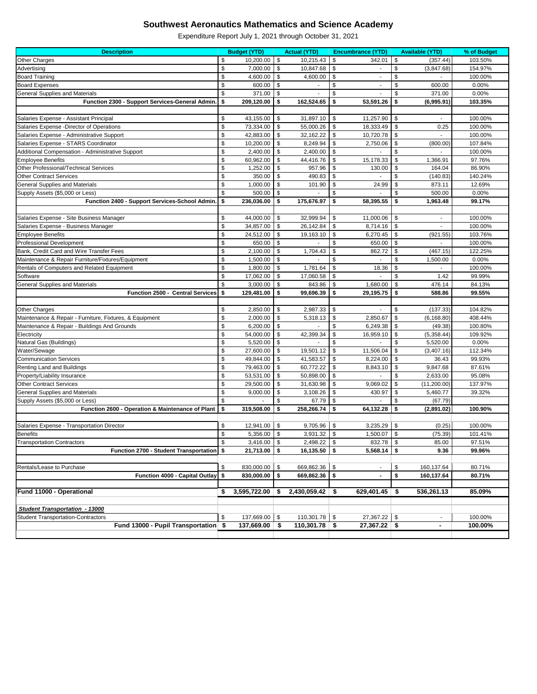| <b>Description</b>                                      |               | <b>Budget (YTD)</b> |               | <b>Actual (YTD)</b> |                           | <b>Encumbrance (YTD)</b> |               | <b>Available (YTD)</b> | % of Budget |
|---------------------------------------------------------|---------------|---------------------|---------------|---------------------|---------------------------|--------------------------|---------------|------------------------|-------------|
| <b>Other Charges</b>                                    | \$            | 10,200.00           | $\sqrt[6]{3}$ | 10,215.43           | \$                        | 342.01                   | \$            | (357.44)               | 103.50%     |
| Advertising                                             | \$            | 7,000.00            | \$            | 10,847.68           | $\boldsymbol{\mathsf{S}}$ |                          | \$            | (3,847.68)             | 154.97%     |
| <b>Board Training</b>                                   | \$            | 4,600.00            | \$            | 4,600.00            | \$                        |                          | \$            |                        | 100.00%     |
| <b>Board Expenses</b>                                   | $\frac{1}{2}$ | 600.00              | \$            |                     | \$                        |                          | \$            | 600.00                 | 0.00%       |
| <b>General Supplies and Materials</b>                   | \$            | 371.00              | -\$           |                     | \$                        |                          | \$            | 371.00                 | 0.00%       |
| Function 2300 - Support Services-General Admin.         | \$            | 209,120.00          | \$            | 162,524.65          | \$                        | 53,591.26                | \$            | (6,995.91)             | 103.35%     |
|                                                         |               |                     |               |                     |                           |                          |               |                        |             |
| Salaries Expense - Assistant Principal                  | \$            | 43,155.00           | \$            | 31,897.10           | \$                        | 11,257.90                | \$            | $\blacksquare$         | 100.00%     |
| Salaries Expense - Director of Operations               | \$            | 73,334.00           | \$            | 55,000.26           | \$                        | 18,333.49                | \$            | 0.25                   | 100.00%     |
| Salaries Expense - Administrative Support               | \$            | 42,883.00           | \$            | 32,162.22           | \$                        | 10,720.78                | -\$           |                        | 100.00%     |
| Salaries Expense - STARS Coordinator                    | \$            | 10,200.00           | \$            | 8,249.94            | $\frac{1}{2}$             | 2,750.06                 | \$            | (800.00)               | 107.84%     |
| Additional Compensation - Administrative Support        | $\frac{1}{2}$ | 2,400.00            | \$            | 2,400.00            | $\boldsymbol{\mathsf{S}}$ |                          | \$            |                        | 100.00%     |
| <b>Employee Benefits</b>                                | \$            | 60,962.00           | \$            | 44,416.76           | \$                        | 15,178.33                | \$            | 1,366.91               | 97.76%      |
| <b>Other Professional/Technical Services</b>            | \$            | 1,252.00            | \$            | 957.96              | \$                        | 130.00                   | \$            | 164.04                 | 86.90%      |
| <b>Other Contract Services</b>                          | \$            | 350.00              | \$            | 490.83              | \$                        |                          | \$            | (140.83)               | 140.24%     |
| <b>General Supplies and Materials</b>                   | \$            | 1,000.00            | \$            | 101.90              | $\boldsymbol{\theta}$     | 24.99                    | <sup>\$</sup> | 873.11                 | 12.69%      |
| Supply Assets (\$5,000 or Less)                         | \$            | 500.00              | \$            |                     | \$                        |                          | Ŝ.            | 500.00                 | 0.00%       |
| Function 2400 - Support Services-School Admin.          | \$            | 236,036.00          | \$            | 175,676.97          | \$                        | 58,395.55                | \$            | 1,963.48               | 99.17%      |
|                                                         |               |                     |               |                     |                           |                          |               |                        |             |
| Salaries Expense - Site Business Manager                | \$            | 44,000.00           | \$            | 32,999.94           | \$                        | 11,000.06                | \$            | ä,                     | 100.00%     |
| Salaries Expense - Business Manager                     | \$            | 34,857.00           | \$            | 26,142.84           | \$                        | 8,714.16                 | - \$          |                        | 100.00%     |
| <b>Employee Benefits</b>                                | $\frac{1}{2}$ | 24,512.00           | \$            | 19,163.10           | $\boldsymbol{\theta}$     | 6,270.45                 | \$            | (921.55)               | 103.76%     |
| <b>Professional Development</b>                         | \$            | 650.00              | \$            |                     | \$                        | 650.00                   | \$            |                        | 100.00%     |
| Bank, Credit Card and Wire Transfer Fees                | \$            | 2,100.00            | \$            | 1,704.43            | \$                        | 862.72                   | \$            | (467.15)               | 122.25%     |
| Maintenance & Repair Furniture/Fixtures/Equipment       | \$            | 1,500.00            | -\$           |                     | $\boldsymbol{\mathsf{S}}$ |                          | \$            | 1,500.00               | 0.00%       |
| Rentals of Computers and Related Equipment              | \$            | 1,800.00            | \$            | 1,781.64            | \$                        | 18.36                    | \$            |                        | 100.00%     |
| Software                                                | \$            | 17,062.00           | \$            | 17,060.58           | \$                        |                          | \$            | 1.42                   | 99.99%      |
| <b>General Supplies and Materials</b>                   | \$            | 3,000.00            | \$            | 843.86              | \$                        | 1,680.00                 | \$            | 476.14                 | 84.13%      |
| Function 2500 - Central Services \$                     |               | 129,481.00          | \$            | 99,696.39           | \$                        | 29,195.75                | \$            | 588.86                 | 99.55%      |
|                                                         |               |                     |               |                     |                           |                          |               |                        |             |
| Other Charges                                           | \$            | 2,850.00            | \$            | 2,987.33            | \$                        |                          | \$            | (137.33)               | 104.82%     |
| Maintenance & Repair - Furniture, Fixtures, & Equipment | \$            | 2,000.00            | \$            | 5,318.13            | $\boldsymbol{\theta}$     | 2,850.67                 | \$            | (6, 168.80)            | 408.44%     |
| Maintenance & Repair - Buildings And Grounds            | \$            | 6,200.00            | -\$           |                     | \$                        | 6,249.38                 | \$            | (49.38)                | 100.80%     |
| Electricity                                             | \$            | 54,000.00           | \$            | 42,399.34           | \$                        | 16,959.10                | \$            | (5,358.44)             | 109.92%     |
| Natural Gas (Buildings)                                 | \$            | 5,520.00            | \$            |                     |                           |                          | \$            | 5,520.00               | 0.00%       |
| Water/Sewage                                            | \$            | 27,600.00           | \$            | 19,501.12           | \$                        | 11,506.04                | \$            | (3,407.16)             | 112.34%     |
| <b>Communication Services</b>                           | \$            | 49,844.00           | \$            | 41,583.57           | \$                        | 8,224.00                 | \$            | 36.43                  | 99.93%      |
| Renting Land and Buildings                              | \$            | 79,463.00           | \$            | 60,772.22           | \$                        | 8,843.10                 | \$            | 9,847.68               | 87.61%      |
| Property/Liability Insurance                            | \$            | 53,531.00           | \$            | 50,898.00           | \$                        |                          | \$            | 2,633.00               | 95.08%      |
| <b>Other Contract Services</b>                          | \$            | 29,500.00           | \$            | 31,630.98           | \$                        | 9,069.02                 | \$            | (11,200.00)            | 137.97%     |
| <b>General Supplies and Materials</b>                   | \$            | 9,000.00            | \$            | 3,108.26            | \$                        | 430.97                   | \$            | 5,460.77               | 39.32%      |
| Supply Assets (\$5,000 or Less)                         | \$            |                     | \$            | 67.79               | \$                        |                          | S             | (67.79)                |             |
| Function 2600 - Operation & Maintenance of Plant        | \$            | 319,508.00          | \$            | 258,266.74          | \$                        | 64,132.28                | \$            | (2,891.02)             | 100.90%     |
|                                                         |               |                     |               |                     |                           |                          |               |                        |             |
| Salaries Expense - Transportation Director              | \$            | 12,941.00           | -\$           | 9,705.96            | \$                        | 3,235.29                 | \$            | (0.25)                 | 100.00%     |
| <b>Benefits</b>                                         | \$            | 5,356.00            | \$            | 3,931.32            | \$                        | 1,500.07                 | \$            | (75.39)                | 101.41%     |
| <b>Transportation Contractors</b>                       | \$            | 3,416.00            | -\$           | 2,498.22            | \$                        | 832.78                   | \$            | 85.00                  | 97.51%      |
| Function 2700 - Student Transportation \$               |               | 21,713.00           | \$            | 16,135.50           | \$                        | 5,568.14                 | \$            | 9.36                   | 99.96%      |
|                                                         |               |                     |               |                     |                           |                          |               |                        |             |
| Rentals/Lease to Purchase                               | \$            | 830,000.00          | -\$           | 669,862.36          | \$                        | $\overline{\phantom{a}}$ | \$            | 160,137.64             | 80.71%      |
| Function 4000 - Capital Outlay \$                       |               | 830,000.00          | \$            | 669,862.36          | \$                        |                          | \$            | 160,137.64             | 80.71%      |
| Fund 11000 - Operational                                | S.            | 3,595,722.00        | - 5           | 2,430,059.42        | \$                        | 629,401.45 $\frac{1}{2}$ |               | 536,261.13             | 85.09%      |
|                                                         |               |                     |               |                     |                           |                          |               |                        |             |
| <b>Student Transportation - 13000</b>                   |               |                     |               |                     |                           |                          |               |                        |             |
| <b>Student Transportation-Contractors</b>               | \$            | 137,669.00          | \$            | 110,301.78          | $\sqrt[6]{3}$             | 27,367.22                | -\$           |                        | 100.00%     |
| Fund 13000 - Pupil Transportation \$                    |               | 137,669.00          | \$            | 110,301.78          | \$                        | $27,367.22$ \$           |               | $\blacksquare$         | 100.00%     |
|                                                         |               |                     |               |                     |                           |                          |               |                        |             |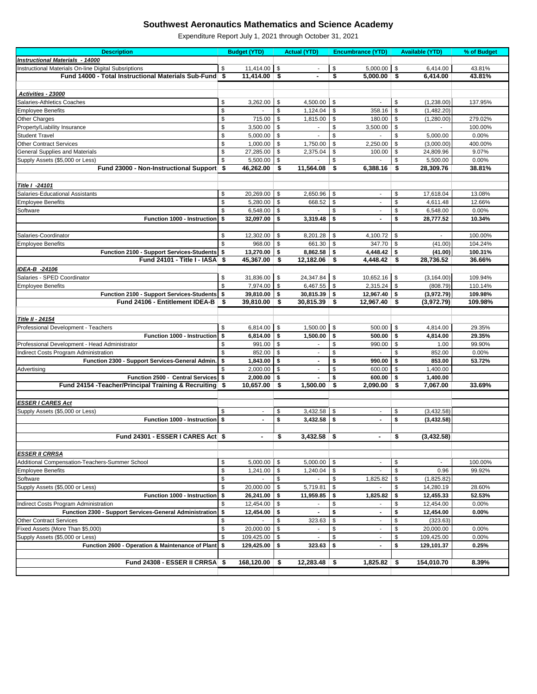| <b>Description</b>                                         |     | <b>Budget (YTD)</b> |                           | <b>Actual (YTD)</b> |                           | <b>Encumbrance (YTD)</b> |               | <b>Available (YTD)</b> | % of Budget |
|------------------------------------------------------------|-----|---------------------|---------------------------|---------------------|---------------------------|--------------------------|---------------|------------------------|-------------|
| <b>Instructional Materials - 14000</b>                     |     |                     |                           |                     |                           |                          |               |                        |             |
| Instructional Materials On-line Digital Subsriptions       | \$  | 11,414.00           | \$                        |                     | \$                        | 5,000.00                 | \$            | 6,414.00               | 43.81%      |
| Fund 14000 - Total Instructional Materials Sub-Fund \$     |     | 11,414.00           | $\boldsymbol{\hat{\ast}}$ | $\blacksquare$      | \$                        | 5,000.00                 | \$            | 6,414.00               | 43.81%      |
|                                                            |     |                     |                           |                     |                           |                          |               |                        |             |
|                                                            |     |                     |                           |                     |                           |                          |               |                        |             |
| Activities - 23000                                         |     |                     |                           |                     |                           |                          |               |                        |             |
| Salaries-Athletics Coaches                                 | \$  | 3,262.00            | \$                        | 4,500.00            | $\boldsymbol{\mathsf{S}}$ |                          | \$            | (1,238.00)             | 137.95%     |
| <b>Employee Benefits</b>                                   | \$  |                     | \$                        | 1,124.04            | \$                        | 358.16                   | \$            | (1,482.20)             |             |
| <b>Other Charges</b>                                       | \$  | 715.00              | \$                        | 1,815.00            | \$                        | 180.00                   | \$            | (1,280.00)             | 279.02%     |
| Property/Liability Insurance                               | \$  | 3,500.00            | \$                        |                     | \$                        | 3,500.00                 | \$            |                        | 100.00%     |
| <b>Student Travel</b>                                      | \$  | 5,000.00            | \$                        |                     | \$                        |                          | <sup>\$</sup> | 5,000.00               | 0.00%       |
| <b>Other Contract Services</b>                             | \$  | 1,000.00            | $\frac{1}{2}$             | 1,750.00            | $\boldsymbol{\mathsf{S}}$ | 2,250.00                 | \$            | (3,000.00)             | 400.00%     |
| <b>General Supplies and Materials</b>                      | \$  | 27,285.00           | \$                        | 2,375.04            | \$                        | 100.00                   | \$            | 24,809.96              | 9.07%       |
| Supply Assets (\$5,000 or Less)                            | \$  | 5,500.00            | \$                        |                     | \$                        |                          | \$            | 5,500.00               | 0.00%       |
| Fund 23000 - Non-Instructional Support \$                  |     | 46,262.00           | \$                        | 11,564.08           | \$                        | 6,388.16                 | \$            | 28,309.76              | 38.81%      |
|                                                            |     |                     |                           |                     |                           |                          |               |                        |             |
| <b>Title I -24101</b>                                      |     |                     |                           |                     |                           |                          |               |                        |             |
| Salaries-Educational Assistants                            | \$  | 20,269.00           | \$                        | 2,650.96            | \$                        | $\overline{\phantom{a}}$ | \$            | 17,618.04              | 13.08%      |
| <b>Employee Benefits</b>                                   | \$  | 5,280.00            | \$                        | 668.52              | \$                        | $\overline{\phantom{a}}$ | \$            | 4,611.48               | 12.66%      |
| Software                                                   | \$  | 6,548.00            | \$                        |                     | \$                        |                          | \$            | 6,548.00               | 0.00%       |
| <b>Function 1000 - Instruction</b>                         | \$  | 32,097.00           | \$                        | 3,319.48            | \$                        | $\blacksquare$           | \$            | 28,777.52              | 10.34%      |
|                                                            |     |                     |                           |                     |                           |                          |               |                        |             |
| Salaries-Coordinator                                       | \$  | 12,302.00           |                           | 8,201.28            | \$                        | 4,100.72                 | \$            | ٠                      | 100.00%     |
|                                                            |     |                     | \$                        |                     |                           |                          |               |                        |             |
| <b>Employee Benefits</b>                                   | \$  | 968.00              | -\$                       | 661.30              | \$                        | 347.70                   | \$            | (41.00)                | 104.24%     |
| Function 2100 - Support Services-Students \$               |     | 13,270.00           | \$                        | 8,862.58            | \$                        | 4,448.42                 | -\$           | (41.00)                | 100.31%     |
| Fund 24101 - Title I - IASA \$                             |     | 45,367.00           | \$                        | 12,182.06           | \$                        | $4,448.42$ \$            |               | 28,736.52              | 36.66%      |
| IDEA-B -24106                                              |     |                     |                           |                     |                           |                          |               |                        |             |
| Salaries - SPED Coordinator                                | \$  | 31,836.00           | \$                        | 24,347.84           | \$                        | 10,652.16                | \$            | (3, 164.00)            | 109.94%     |
| <b>Employee Benefits</b>                                   | \$  | 7,974.00            | -\$                       | 6,467.55            | \$                        | 2,315.24                 | \$            | (808.79)               | 110.14%     |
| Function 2100 - Support Services-Students \$               |     | 39,810.00           | -\$                       | 30,815.39           | \$                        | 12,967.40                | - \$          | (3,972.79)             | 109.98%     |
| Fund 24106 - Entitlement IDEA-B                            | -\$ | 39,810.00           | \$                        | 30,815.39           | \$                        | 12,967.40                | \$            | (3,972.79)             | 109.98%     |
|                                                            |     |                     |                           |                     |                           |                          |               |                        |             |
| <b>Title II - 24154</b>                                    |     |                     |                           |                     |                           |                          |               |                        |             |
| Professional Development - Teachers                        | \$  | 6,814.00 $\vert$ \$ |                           | $1,500.00$ \ \$     |                           | $500.00$ \$              |               | 4,814.00               | 29.35%      |
| Function 1000 - Instruction \$                             |     | $6,814.00$ \ \$     |                           | 1,500.00            | -\$                       | $500.00$ \$              |               | 4,814.00               | 29.35%      |
| Professional Development - Head Administrator              | \$  | 991.00              | -\$                       |                     | \$                        | 990.00                   | \$            | 1.00                   | 99.90%      |
| Indirect Costs Program Administration                      | \$  | 852.00              | \$                        |                     | \$                        |                          | \$            | 852.00                 | 0.00%       |
| Function 2300 - Support Services-General Admin.            | \$  | 1,843.00            | - \$                      |                     | \$                        | 990.00                   | S             | 853.00                 | 53.72%      |
| Advertising                                                | \$  | 2,000.00            | -\$                       |                     | \$                        | 600.00                   | \$            | 1,400.00               |             |
| Function 2500 - Central Services \$                        |     | $2,000.00$ \$       |                           |                     | \$                        | 600.00                   | \$            | 1,400.00               |             |
| Fund 24154 - Teacher/Principal Training & Recruiting   \$  |     | 10,657.00           | \$                        | 1,500.00            | \$                        | $2,090.00$ \$            |               | 7,067.00               | 33.69%      |
|                                                            |     |                     |                           |                     |                           |                          |               |                        |             |
|                                                            |     |                     |                           |                     |                           |                          |               |                        |             |
| <b>ESSER I CARES Act</b>                                   |     |                     |                           |                     |                           |                          |               |                        |             |
| Supply Assets (\$5,000 or Less)                            | \$  |                     | \$                        | 3,432.58            | \$                        |                          | \$            | (3,432.58)             |             |
| Function 1000 - Instruction \$                             |     |                     | \$                        | 3,432.58            | \$                        |                          | \$            | (3,432.58)             |             |
|                                                            |     |                     |                           |                     |                           |                          |               |                        |             |
| Fund 24301 - ESSER I CARES Act \$                          |     |                     | \$                        | $3,432.58$ \$       |                           | $\blacksquare$           | \$            | (3,432.58)             |             |
|                                                            |     |                     |                           |                     |                           |                          |               |                        |             |
| <b>ESSER II CRRSA</b>                                      |     |                     |                           |                     |                           |                          |               |                        |             |
| Additional Compensation-Teachers-Summer School             | \$  | 5,000.00            | \$                        | 5,000.00            | \$                        |                          | \$            |                        | 100.00%     |
| <b>Employee Benefits</b>                                   | \$  | 1,241.00            | -\$                       | 1,240.04            | \$                        |                          | S             | 0.96                   | 99.92%      |
| Software                                                   | \$  |                     |                           |                     | \$                        | 1,825.82                 | \$            | (1,825.82)             |             |
| Supply Assets (\$5,000 or Less)                            | \$  | 20,000.00           | \$                        | 5,719.81            | $\sqrt[6]{3}$             |                          | \$            | 14,280.19              | 28.60%      |
| Function 1000 - Instruction \$                             |     | 26,241.00           | \$                        | 11,959.85           | \$                        | 1,825.82                 | \$            | 12,455.33              | 52.53%      |
| Indirect Costs Program Administration                      | \$  | 12,454.00           | - \$                      |                     | \$                        |                          | \$            | 12,454.00              | 0.00%       |
| Function 2300 - Support Services-General Administration \$ |     | 12,454.00           | -\$                       |                     | \$                        | $\blacksquare$           | \$            | 12,454.00              | 0.00%       |
| <b>Other Contract Services</b>                             | \$  |                     | \$                        | 323.63              | \$                        |                          | S             | (323.63)               |             |
| Fixed Assets (More Than \$5,000)                           | \$  | 20,000.00           | \$                        |                     | \$                        |                          | \$.           | 20,000.00              | 0.00%       |
| Supply Assets (\$5,000 or Less)                            | \$  | 109,425.00          | \$                        |                     | \$                        |                          | S             | 109,425.00             | 0.00%       |
| Function 2600 - Operation & Maintenance of Plant \$        |     | 129,425.00          | \$                        | 323.63              | \$                        |                          | \$            | 129,101.37             | 0.25%       |
|                                                            |     |                     |                           |                     |                           |                          |               |                        |             |
|                                                            |     |                     |                           |                     |                           | $1,825.82$ \$            |               |                        |             |
| Fund 24308 - ESSER II CRRSA \$                             |     | $168,120.00$ \$     |                           | $12,283.48$ \$      |                           |                          |               | 154,010.70             | 8.39%       |
|                                                            |     |                     |                           |                     |                           |                          |               |                        |             |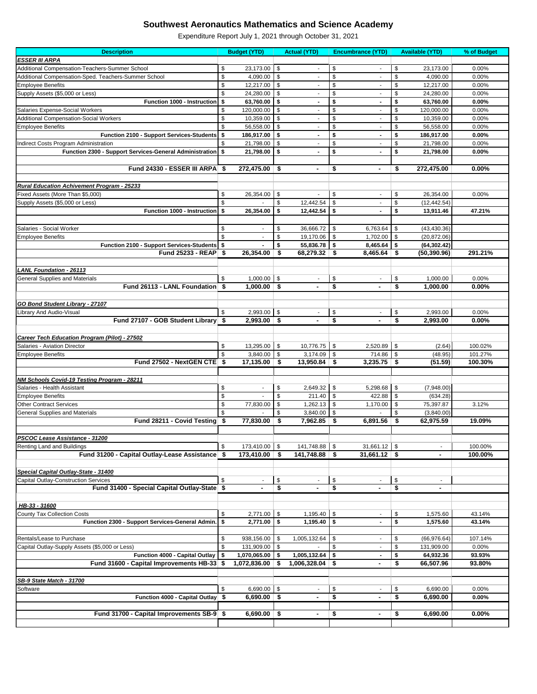| <b>Description</b>                                      |      | <b>Budget (YTD)</b>      |               | <b>Actual (YTD)</b>      | <b>Encumbrance (YTD)</b>       |                           | <b>Available (YTD)</b> | % of Budget |
|---------------------------------------------------------|------|--------------------------|---------------|--------------------------|--------------------------------|---------------------------|------------------------|-------------|
| <b>ESSER III ARPA</b>                                   |      |                          |               |                          |                                |                           |                        |             |
| Additional Compensation-Teachers-Summer School          | \$   | 23,173.00                | $\sqrt[6]{3}$ |                          | \$<br>$\overline{\phantom{a}}$ | \$                        | 23,173.00              | 0.00%       |
| Additional Compensation-Sped. Teachers-Summer School    | \$   | 4,090.00                 | \$            |                          | \$                             | \$                        | 4,090.00               | 0.00%       |
| <b>Employee Benefits</b>                                | \$   | 12,217.00                | \$            |                          | \$                             | \$                        | 12,217.00              | 0.00%       |
| Supply Assets (\$5,000 or Less)                         | \$   | 24,280.00                | \$            | $\blacksquare$           | \$<br>$\overline{\phantom{a}}$ | \$                        | 24,280.00              | 0.00%       |
| <b>Function 1000 - Instruction</b>                      | \$   | 63,760.00                | \$            | $\blacksquare$           | $\blacksquare$                 | \$                        | 63,760.00              | 0.00%       |
|                                                         |      |                          |               |                          | \$                             |                           |                        |             |
| Salaries Expense-Social Workers                         | \$   | 120,000.00               | \$            |                          | \$                             | \$                        | 120,000.00             | 0.00%       |
| <b>Additional Compensation-Social Workers</b>           | \$   | 10,359.00                | $\sqrt[6]{3}$ |                          | \$                             | \$                        | 10,359.00              | 0.00%       |
| <b>Employee Benefits</b>                                | \$   | 56,558.00                | \$            |                          | \$                             | \$                        | 56,558.00              | 0.00%       |
| Function 2100 - Support Services-Students \$            |      | 186,917.00               | \$            | Ξ.                       | \$<br>$\blacksquare$           | \$                        | 186,917.00             | 0.00%       |
| Indirect Costs Program Administration                   | \$   | 21,798.00                | \$            |                          | \$                             | \$                        | 21,798.00              | 0.00%       |
| Function 2300 - Support Services-General Administration | \$   | 21,798.00                | \$            | Ξ.                       | \$                             | \$                        | 21,798.00              | 0.00%       |
|                                                         |      |                          |               |                          |                                |                           |                        |             |
| Fund 24330 - ESSER III ARPA \$                          |      | 272,475.00               | \$            | $\blacksquare$           | \$<br>۰                        | \$                        | 272,475.00             | 0.00%       |
|                                                         |      |                          |               |                          |                                |                           |                        |             |
| <b>Rural Education Achivement Program - 25233</b>       |      |                          |               |                          |                                |                           |                        |             |
| Fixed Assets (More Than \$5,000)                        | \$   | 26,354.00                | \$            |                          | \$                             | \$                        | 26,354.00              | 0.00%       |
|                                                         |      |                          |               |                          |                                |                           |                        |             |
| Supply Assets (\$5,000 or Less)                         | \$   |                          | \$            | 12,442.54                | \$                             | \$                        | (12, 442.54)           |             |
| Function 1000 - Instruction \$                          |      | 26,354.00                | \$            | 12,442.54                | \$<br>$\blacksquare$           | \$                        | 13,911.46              | 47.21%      |
|                                                         |      |                          |               |                          |                                |                           |                        |             |
| Salaries - Social Worker                                | \$   | $\blacksquare$           | \$            | 36,666.72                | $\sqrt[6]{3}$<br>6,763.64      | \$                        | (43, 430.36)           |             |
| <b>Employee Benefits</b>                                | \$   |                          | \$            | 19,170.06                | \$<br>1,702.00                 | \$                        | (20, 872.06)           |             |
| Function 2100 - Support Services-Students \$            |      |                          | \$            | 55,836.78                | \$<br>8,465.64                 | \$                        | (64, 302.42)           |             |
| Fund 25233 - REAP \$                                    |      | 26,354.00                | \$            | 68,279.32                | 8,465.64<br>-\$                | \$                        | (50, 390.96)           | 291.21%     |
|                                                         |      |                          |               |                          |                                |                           |                        |             |
| <b>LANL Foundation - 26113</b>                          |      |                          |               |                          |                                |                           |                        |             |
| <b>General Supplies and Materials</b>                   | \$   | 1,000.00                 | \$            |                          | \$<br>$\overline{\phantom{a}}$ | \$                        | 1,000.00               | 0.00%       |
| Fund 26113 - LANL Foundation \$                         |      | $1,000.00$ \$            |               | $\blacksquare$           | \$<br>$\blacksquare$           | \$                        | 1,000.00               | 0.00%       |
|                                                         |      |                          |               |                          |                                |                           |                        |             |
|                                                         |      |                          |               |                          |                                |                           |                        |             |
| <b>GO Bond Student Library - 27107</b>                  |      |                          |               |                          |                                |                           |                        |             |
| Library And Audio-Visual                                | \$   | 2,993.00                 | \$            | $\overline{\phantom{a}}$ | \$<br>$\overline{\phantom{a}}$ | \$                        | 2,993.00               | 0.00%       |
| Fund 27107 - GOB Student Library \$                     |      | 2,993.00                 | \$            |                          | \$                             | \$                        | 2,993.00               | 0.00%       |
|                                                         |      |                          |               |                          |                                |                           |                        |             |
| <b>Career Tech Education Program (Pilot) - 27502</b>    |      |                          |               |                          |                                |                           |                        |             |
| Salaries - Aviation Director                            | \$   | 13,295.00                | \$            | 10,776.75                | \$<br>2,520.89                 | \$                        | (2.64)                 | 100.02%     |
| <b>Employee Benefits</b>                                | \$   | 3,840.00                 | \$            | 3,174.09                 | 714.86<br>\$                   | \$                        | (48.95)                | 101.27%     |
| Fund 27502 - NextGEN CTE \$                             |      | $17,135.00$ \$           |               | 13,950.84                | $3,235.75$ \$<br>-\$           |                           | (51.59)                | 100.30%     |
|                                                         |      |                          |               |                          |                                |                           |                        |             |
| <b>NM Schools Covid-19 Testing Program - 28211</b>      |      |                          |               |                          |                                |                           |                        |             |
| Salaries - Health Assistant                             | \$   | $\overline{\phantom{a}}$ | \$            | 2,649.32                 | \$<br>5,298.68                 | \$                        | (7,948.00)             |             |
| <b>Employee Benefits</b>                                | \$   |                          | \$            | 211.40                   | -\$<br>422.88                  | \$                        | (634.28)               |             |
|                                                         |      |                          |               |                          |                                |                           |                        |             |
| <b>Other Contract Services</b>                          | \$   | 77,830.00                | \$            | 1,262.13                 | \$<br>1,170.00                 | \$                        | 75,397.87              | 3.12%       |
| <b>General Supplies and Materials</b>                   | \$   |                          | \$            | 3,840.00                 | \$                             | S                         | (3,840.00)             |             |
| Fund 28211 - Covid Testing                              | \$   | 77,830.00                | \$            | 7,962.85                 | 6,891.56<br>\$                 | \$                        | 62,975.59              | 19.09%      |
|                                                         |      |                          |               |                          |                                |                           |                        |             |
| PSCOC Lease Assistance - 31200                          |      |                          |               |                          |                                |                           |                        |             |
| Renting Land and Buildings                              | \$   | 173,410.00               | \$            | 141,748.88               | \$<br>31,661.12                | \$                        |                        | 100.00%     |
| Fund 31200 - Capital Outlay-Lease Assistance            | - \$ | 173,410.00               | \$            | 141,748.88               | $31,661.12$ \$<br>\$           |                           |                        | 100.00%     |
|                                                         |      |                          |               |                          |                                |                           |                        |             |
| Special Capital Outlay-State - 31400                    |      |                          |               |                          |                                |                           |                        |             |
| <b>Capital Outlay-Construction Services</b>             | \$   |                          | \$            |                          | \$                             | \$                        |                        |             |
| Fund 31400 - Special Capital Outlay-State \$            |      |                          | \$            |                          | \$                             | \$                        |                        |             |
|                                                         |      |                          |               |                          |                                |                           |                        |             |
|                                                         |      |                          |               |                          |                                |                           |                        |             |
| HB-33 - 31600                                           |      | 2,771.00                 | \$            | 1,195.40                 | $\overline{\phantom{a}}$       |                           | 1,575.60               | 43.14%      |
| County Tax Collection Costs                             | \$   |                          |               |                          | \$                             | \$                        |                        |             |
| Function 2300 - Support Services-General Admin.         | \$   | 2,771.00                 | \$            | 1,195.40                 | \$                             | \$                        | 1,575.60               | 43.14%      |
|                                                         |      |                          |               |                          |                                |                           |                        |             |
| Rentals/Lease to Purchase                               | \$   | 938,156.00               | \$            | 1,005,132.64             | \$                             | \$                        | (66, 976.64)           | 107.14%     |
| Capital Outlay-Supply Assets (\$5,000 or Less)          | \$   | 131,909.00               | \$            |                          | \$                             | \$                        | 131,909.00             | 0.00%       |
| Function 4000 - Capital Outlay   \$                     |      | 1,070,065.00             | -\$           | 1,005,132.64             | \$                             | S                         | 64,932.36              | 93.93%      |
| Fund 31600 - Capital Improvements HB-33                 | \$   | 1,072,836.00             | \$            | 1,006,328.04             | \$<br>$\blacksquare$           | $\boldsymbol{\mathsf{s}}$ | 66,507.96              | 93.80%      |
|                                                         |      |                          |               |                          |                                |                           |                        |             |
| SB-9 State Match - 31700                                |      |                          |               |                          |                                |                           |                        |             |
| Software                                                | \$   | 6,690.00                 | \$            | $\overline{\phantom{a}}$ | \$<br>$\blacksquare$           | \$                        | 6,690.00               | 0.00%       |
| Function 4000 - Capital Outlay   \$                     |      | $6,690.00$ \$            |               | $\blacksquare$           | \$<br>$\blacksquare$           | \$                        | 6,690.00               | 0.00%       |
|                                                         |      |                          |               |                          |                                |                           |                        |             |
| Fund 31700 - Capital Improvements SB-9 \$               |      | 6,690.00 $\frac{1}{9}$   |               |                          | \$                             | \$                        | 6,690.00               | $0.00\%$    |
|                                                         |      |                          |               |                          |                                |                           |                        |             |
|                                                         |      |                          |               |                          |                                |                           |                        |             |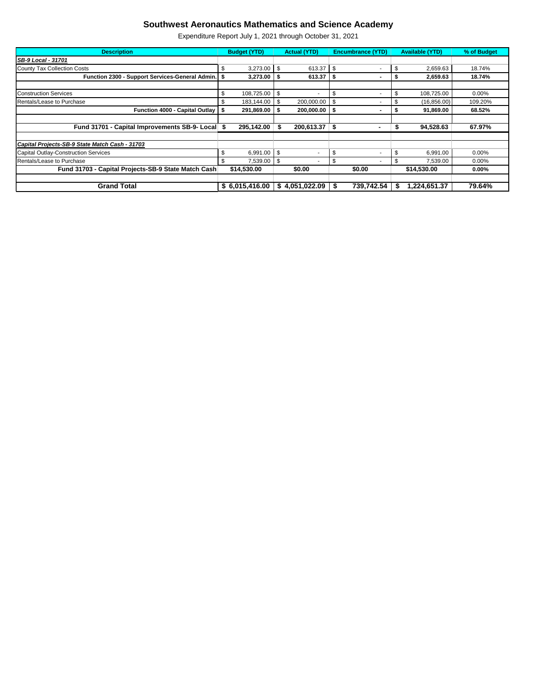| <b>Description</b>                                  | <b>Budget (YTD)</b> |                | <b>Actual (YTD)</b> |                          | <b>Encumbrance (YTD)</b> |                          | <b>Available (YTD)</b> |              | % of Budget |  |
|-----------------------------------------------------|---------------------|----------------|---------------------|--------------------------|--------------------------|--------------------------|------------------------|--------------|-------------|--|
| <b>SB-9 Local - 31701</b>                           |                     |                |                     |                          |                          |                          |                        |              |             |  |
| County Tax Collection Costs                         | \$                  | 3,273.00       | -\$                 | 613.37                   | \$                       | $\overline{\phantom{a}}$ | \$                     | 2,659.63     | 18.74%      |  |
| Function 2300 - Support Services-General Admin.     |                     | 3,273.00       |                     | 613.37                   |                          |                          | э                      | 2,659.63     | 18.74%      |  |
|                                                     |                     |                |                     |                          |                          |                          |                        |              |             |  |
| <b>Construction Services</b>                        | \$                  | 108,725.00     | \$                  |                          |                          | $\overline{\phantom{a}}$ | \$                     | 108,725.00   | $0.00\%$    |  |
| <b>Rentals/Lease to Purchase</b>                    | S                   | 183,144.00     | - \$                | 200,000.00               | \$                       |                          |                        | (16, 856.00) | 109.20%     |  |
| <b>Function 4000 - Capital Outlay</b>               | S                   | 291,869.00     |                     | 200,000.00               |                          |                          | э                      | 91,869.00    | 68.52%      |  |
|                                                     |                     |                |                     |                          |                          |                          |                        |              |             |  |
| Fund 31701 - Capital Improvements SB-9- Local \$    |                     | 295,142.00     |                     | 200,613.37               | -\$                      |                          |                        | 94,528.63    | 67.97%      |  |
|                                                     |                     |                |                     |                          |                          |                          |                        |              |             |  |
| Capital Projects-SB-9 State Match Cash - 31703      |                     |                |                     |                          |                          |                          |                        |              |             |  |
| Capital Outlay-Construction Services                | \$                  | 6,991.00       | \$                  | $\overline{\phantom{0}}$ | \$                       | $\sim$                   | \$                     | 6,991.00     | $0.00\%$    |  |
| <b>Rentals/Lease to Purchase</b>                    | \$.                 | 7,539.00       | \$                  |                          | \$.                      |                          | S                      | 7,539.00     | $0.00\%$    |  |
| Fund 31703 - Capital Projects-SB-9 State Match Cash |                     | \$14,530.00    |                     | \$0.00                   |                          | \$0.00                   |                        | \$14,530.00  | $0.00\%$    |  |
|                                                     |                     |                |                     |                          |                          |                          |                        |              |             |  |
| <b>Grand Total</b>                                  |                     | \$6,015,416.00 |                     | \$4,051,022.09           | \$                       | 739,742.54               |                        | 1,224,651.37 | 79.64%      |  |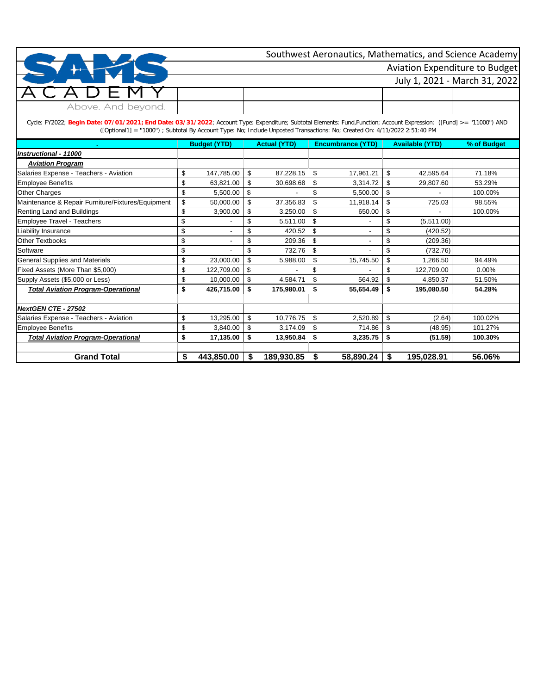|                    | Southwest Aeronautics, Mathematics, and Science Academy |
|--------------------|---------------------------------------------------------|
|                    | <b>Aviation Expenditure to Budget</b>                   |
|                    | July 1, 2021 - March 31, 2022                           |
| $1$ $\vdash$ M     |                                                         |
| Above. And beyond. |                                                         |

Cycle: FY2022; **Begin Date: 07/01/2021; End Date: 03/31/2022**; Account Type: Expenditure; Subtotal Elements: Fund,Function; Account Expression: ([Fund] >= ''11000'') AND ([Optional1] = ''1000'') ; Subtotal By Account Type: No; Include Unposted Transactions: No; Created On: 4/11/2022 2:51:40 PM

|                                                   | <b>Budget (YTD)</b>  |    | <b>Actual (YTD)</b> | <b>Encumbrance (YTD)</b> | <b>Available (YTD)</b> | % of Budget |
|---------------------------------------------------|----------------------|----|---------------------|--------------------------|------------------------|-------------|
| Instructional - 11000                             |                      |    |                     |                          |                        |             |
| <b>Aviation Program</b>                           |                      |    |                     |                          |                        |             |
| Salaries Expense - Teachers - Aviation            | \$<br>147,785.00     | \$ | 87,228.15           | \$<br>17,961.21          | \$<br>42,595.64        | 71.18%      |
| <b>Employee Benefits</b>                          | \$<br>63,821.00      | \$ | 30,698.68           | \$<br>3,314.72           | \$<br>29,807.60        | 53.29%      |
| <b>Other Charges</b>                              | \$<br>5,500.00       | \$ |                     | \$<br>5,500.00           | \$                     | 100.00%     |
| Maintenance & Repair Furniture/Fixtures/Equipment | \$<br>50,000.00      | \$ | 37,356.83           | \$<br>11,918.14          | \$<br>725.03           | 98.55%      |
| Renting Land and Buildings                        | \$<br>3,900.00       | \$ | 3,250.00            | \$<br>650.00             | \$                     | 100.00%     |
| Employee Travel - Teachers                        | \$                   | S  | 5,511.00            | \$                       | \$<br>(5,511.00)       |             |
| Liability Insurance                               | \$<br>$\blacksquare$ |    | 420.52              | \$                       | \$<br>(420.52)         |             |
| <b>Other Textbooks</b>                            | \$                   | \$ | 209.36              | \$                       | \$<br>(209.36)         |             |
| Software                                          | \$                   |    | 732.76              | \$                       | \$<br>(732.76)         |             |
| <b>General Supplies and Materials</b>             | \$<br>23,000.00      | \$ | 5,988.00            | \$<br>15,745.50          | \$<br>1,266.50         | 94.49%      |
| Fixed Assets (More Than \$5,000)                  | \$<br>122,709.00     | \$ |                     | \$                       | \$<br>122,709.00       | $0.00\%$    |
| Supply Assets (\$5,000 or Less)                   | \$<br>10,000.00      | \$ | 4,584.71            | \$<br>564.92             | \$<br>4,850.37         | 51.50%      |
| <b>Total Aviation Program-Operational</b>         | \$<br>426,715.00     | \$ | 175,980.01          | \$<br>55,654.49          | \$<br>195,080.50       | 54.28%      |
|                                                   |                      |    |                     |                          |                        |             |
| NextGEN CTE - 27502                               |                      |    |                     |                          |                        |             |
| Salaries Expense - Teachers - Aviation            | \$<br>13,295.00      | \$ | 10,776.75           | \$<br>2,520.89           | \$<br>(2.64)           | 100.02%     |
| <b>Employee Benefits</b>                          | \$<br>3,840.00       | \$ | 3,174.09            | \$<br>714.86             | \$<br>(48.95)          | 101.27%     |
| <b>Total Aviation Program-Operational</b>         | \$<br>17,135.00      | \$ | 13,950.84           | \$<br>3,235.75           | \$<br>(51.59)          | 100.30%     |
|                                                   |                      |    |                     |                          |                        |             |
| <b>Grand Total</b>                                | \$<br>443,850.00     | \$ | 189,930.85          | \$<br>58,890.24          | \$<br>195,028.91       | 56.06%      |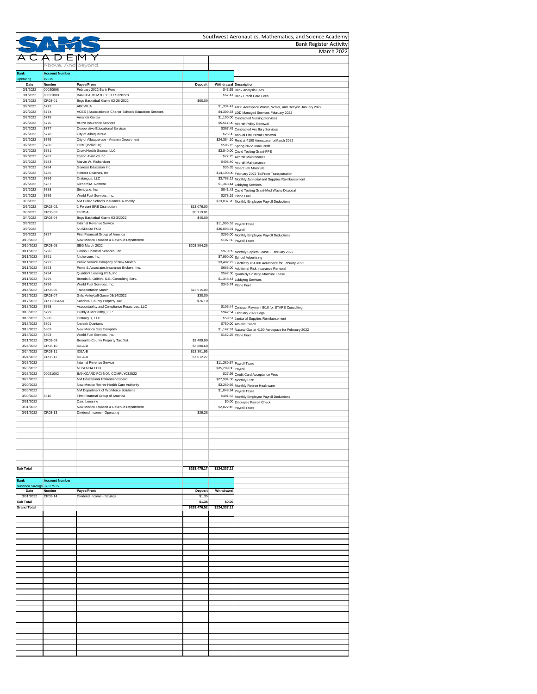|                                        |                                |                                                                                  |                           |                     | Southwest Aeronautics, Mathematics, and Science Academy                                  |
|----------------------------------------|--------------------------------|----------------------------------------------------------------------------------|---------------------------|---------------------|------------------------------------------------------------------------------------------|
|                                        |                                |                                                                                  |                           |                     | <b>Bank Register Activity</b><br><b>March 2022</b>                                       |
|                                        |                                |                                                                                  |                           |                     |                                                                                          |
|                                        | Above. And beyond.             |                                                                                  |                           |                     |                                                                                          |
| <b>Bank</b><br>Operating               | <b>Account Number</b><br>#7515 |                                                                                  |                           |                     |                                                                                          |
| Date<br>3/1/2022                       | <b>Number</b><br>00020998      | Payee/From<br>February 2022 Bank Fees                                            | <b>Deposit</b>            |                     | Withdrawal Description<br>\$43.55 Bank Analysis Fees                                     |
| 3/1/2022                               | 00021000                       | BANKCARD MTHLY FEES220228                                                        |                           |                     | \$67.41 Bank Credit Card Fees                                                            |
| 3/1/2022<br>3/2/2022                   | CR03-01<br>5773                | Boys Basketball Game 02-28-2022<br><b>ABCWUA</b>                                 | \$60.00                   |                     | \$1,334.41 4100 Aerospace Waste, Water, and Recycle January 2022                         |
| 3/2/2022                               | 5774                           | ACES   Association of Charter Schools Education Services                         |                           |                     | \$4,309.34 LDD Managed Services February 2022                                            |
| 3/2/2022<br>3/2/2022                   | 5775<br>5776                   | Amanda Garcia<br><b>AOPA Insurance Services</b>                                  |                           |                     | \$1,100.00 Contracted Nursing Services<br>\$5,511.00 Aircraft Policy Renewal             |
| 3/2/2022                               | 5777                           | <b>Cooperative Educational Services</b>                                          |                           |                     | \$367.45 Contracted Ancillary Services                                                   |
| 3/2/2022<br>3/2/2022                   | 5778<br>5779                   | City of Albuquerque<br>City of Albuquerque - Aviation Department                 |                           |                     | \$25.00 Annual Fire Permit Renewal<br>\$24,364.10 Rent at 4100 Aerospace forMarch 2022   |
| 3/2/2022                               | 5780<br>5781                   | CNM (IncludED)<br>CrowdHealth Source, LLC                                        |                           |                     | \$505.15 Spring 2022 Dual Credit                                                         |
| 3/2/2022<br>3/2/2022                   | 5782                           | Dynon Avionics Inc.                                                              |                           |                     | \$3,840.00 Covid Testing Grant-PPE<br>\$77.75 Aircraft Maintenance                       |
| 3/2/2022<br>3/2/2022                   | 5783<br>5784                   | Marvin W. Richardson<br>Genesis Education Inc.                                   |                           |                     | \$408.40 Aircraft Maintenance                                                            |
| 3/2/2022                               | 5785                           | Herrera Coaches, Inc.                                                            |                           |                     | \$35.35 Smart Lab Materials<br>\$14,100.00 February 2022 To/From Transportation          |
| 3/2/2022<br>3/2/2022                   | 5786<br>5787                   | Crataegus, LLC<br>Richard M. Romero                                              |                           |                     | \$3,768.12 Monthly Janitorial and Supplies Reimbursement<br>\$1,348.44 Lobbying Services |
| 3/2/2022                               | 5788                           | Stericycle, Inc.                                                                 |                           |                     | \$841.42 Covid Testing Grant-Med Waste Disposal                                          |
| 3/2/2022<br>3/3/2022                   | 5789                           | World Fuel Services, Inc.<br>NM Public Schools Insurance Authority               |                           |                     | \$278.19 Plane Fuel                                                                      |
| 3/3/2022                               | CR02-02.                       | 1 Percent ERB Distribution                                                       | \$13,076.00               |                     | \$13,037.20 Monthly Employee Payroll Deductions                                          |
| 3/3/2022                               | CR03-03                        | <b>CRRSA</b>                                                                     | \$5,719.81                |                     |                                                                                          |
| 3/4/2022<br>3/9/2022                   | CR03-04                        | Boys Basketball Game 03-3/2022<br>Internal Revenue Service                       | \$40.00                   |                     | $\sqrt{311,905.53}$ Payroll Taxes                                                        |
| 3/9/2022                               |                                | <b>NUSENDA FCU</b>                                                               |                           | \$36,098.31 Payroll |                                                                                          |
| 3/9/2022<br>3/10/2022                  | 5797                           | First Financial Group of America<br>New Mexico Taxation & Revenue Department     |                           |                     | \$295.00 Monthly Employee Payroll Deductions<br>\$107.50 Payroll Taxes                   |
| 3/10/2022                              | CR03-05                        | SEG March 2022                                                                   | \$203,804.26              |                     |                                                                                          |
| 3/11/2022<br>3/11/2022                 | 5790<br>5791                   | Canon Financial Services, Inc.<br>Niche.com, Inc.                                |                           |                     | \$970.89 Monthly Copiers Lease - February 2022<br>\$7,990.00 School Advertising          |
| 3/11/2022                              | 5792                           | Public Service Company of New Mexico                                             |                           |                     | \$3,482.22 Electricity at 4100 Aerospace for Febuary 2022                                |
| 3/11/2022<br>3/11/2022                 | 5793<br>5794                   | Poms & Associates Insurance Brokers, Inc.<br>Quadient Leasing USA, Inc           |                           |                     | \$665.00 Additional Risk Insurance Renewal<br>\$542.30 Quarterly Postage Machine Lease   |
| 3/11/2022                              | 5795                           | Brenda S. Griffith- S.G. Consulting Serv.                                        |                           |                     | \$1,348.44 Lobbying Services                                                             |
| 3/11/2022<br>3/14/2022                 | 5796<br>CR03-06                | World Fuel Services, Inc.<br><b>Transportation March</b>                         | \$12,515.00               |                     | \$345.74 Plane Fuel                                                                      |
| 3/15/2022                              | CR03-07                        | Girls Volleyball Game 03/14/2022                                                 | \$30.00                   |                     |                                                                                          |
| 3/17/2022<br>3/18/2022                 | CR03-08A&B<br>5798             | Sandoval County Property Tax<br>Accountability and Compliance Resources, LLC     | \$76.10                   |                     | \$106.44 Contract Payment 8/10 for STARS Conculting                                      |
| 3/18/2022                              | 5799                           | Cuddy & McCarthy, LLP                                                            |                           |                     | \$942.54 February 2022 Legal                                                             |
| 3/18/2022<br>3/18/2022                 | 5800<br>5801                   | Crataegus, LLC<br>Nevaeh Quintana                                                |                           |                     | \$59.51 Janitorial Supplies Reimbursement<br>\$750.00 Athletic Coach                     |
| 3/18/2022                              | 5802                           | New Mexico Gas Company                                                           |                           |                     | \$1,147.91 Natural Gas at 4100 Aerospace for February 2022                               |
| 3/18/2022<br>3/21/2022                 | 5803<br>CR03-09                | World Fuel Services, Inc.<br>Bernalillo County Property Tax Dist.                | \$3,409.90                |                     | $\sqrt{$162.25}$ Plane Fuel                                                              |
| 3/24/2022                              | CR03-10                        | <b>IDEA-B</b>                                                                    | \$3,800.60                |                     |                                                                                          |
| 3/24/2022<br>3/24/2022                 | CR03-11<br>CR03-12             | <b>IDEA-B</b><br><b>IDEA-B</b>                                                   | \$13,301.95<br>\$7,612.27 |                     |                                                                                          |
| 3/28/2022                              |                                | Internal Revenue Service                                                         |                           |                     | $\sqrt{$11,280.57}$ Payroll Taxes                                                        |
| 3/28/2022<br>3/28/2022                 | 00021002                       | <b>NUSENDA FCU</b><br>BANKCARD PCI NON COMPLY032522                              |                           | \$35,209.80 Payroll |                                                                                          |
| 3/29/2022                              |                                | NM Educational Retirement Board                                                  |                           |                     | \$27.95 Credit Card Acceptance Fees<br>\$27,904.36 Monthly ERB                           |
| 3/30/2022<br>3/30/2022                 |                                | New Mexico Retiree Health Care Authority<br>NM Department of Workforce Solutions |                           |                     | \$3,269.66 Monthly Retiree Healthcare                                                    |
| 3/30/2022                              | 5816                           | First Financial Group of America                                                 |                           |                     | $\overline{\$1,048.94}$ Payroll Taxes<br>\$491.52 Monthly Employee Payroll Deductions    |
| 3/31/2022<br>3/31/2022                 |                                | Carr, Leeanne<br>New Mexico Taxation & Revenue Department                        |                           |                     | \$0.00 Employee Payroll Check<br>\$2,822.45 Payroll Taxes                                |
| 3/31/2022                              | CR03-13                        | Dividend Income - Operating                                                      | \$29.28                   |                     |                                                                                          |
|                                        |                                |                                                                                  |                           |                     |                                                                                          |
|                                        |                                |                                                                                  |                           |                     |                                                                                          |
|                                        |                                |                                                                                  |                           |                     |                                                                                          |
|                                        |                                |                                                                                  |                           |                     |                                                                                          |
|                                        |                                |                                                                                  |                           |                     |                                                                                          |
|                                        |                                |                                                                                  |                           |                     |                                                                                          |
| <b>Sub Total</b>                       |                                |                                                                                  | \$263,475.17              | \$224,337.11        |                                                                                          |
| <b>Bank</b>                            | <b>Account Number</b>          |                                                                                  |                           |                     |                                                                                          |
| Nusenda Savings 37627515<br>Date       | Number                         | Payee/From                                                                       | <b>Deposit</b>            | Withdrawal          |                                                                                          |
| 3/31/2022                              | CR03-14                        | Dividend Income - Savings                                                        | \$1.35                    |                     |                                                                                          |
| <b>Sub Total</b><br><b>Grand Total</b> |                                |                                                                                  | \$1.35                    | \$0.00              |                                                                                          |
|                                        |                                |                                                                                  | \$263,476.52              | \$224,337.11        |                                                                                          |
|                                        |                                |                                                                                  |                           |                     |                                                                                          |
|                                        |                                |                                                                                  |                           |                     |                                                                                          |
|                                        |                                |                                                                                  |                           |                     |                                                                                          |
|                                        |                                |                                                                                  |                           |                     |                                                                                          |
|                                        |                                |                                                                                  |                           |                     |                                                                                          |
|                                        |                                |                                                                                  |                           |                     |                                                                                          |
|                                        |                                |                                                                                  |                           |                     |                                                                                          |
|                                        |                                |                                                                                  |                           |                     |                                                                                          |
|                                        |                                |                                                                                  |                           |                     |                                                                                          |
|                                        |                                |                                                                                  |                           |                     |                                                                                          |
|                                        |                                |                                                                                  |                           |                     |                                                                                          |
|                                        |                                |                                                                                  |                           |                     |                                                                                          |
|                                        |                                |                                                                                  |                           |                     |                                                                                          |
|                                        |                                |                                                                                  |                           |                     |                                                                                          |
|                                        |                                |                                                                                  |                           |                     |                                                                                          |
|                                        |                                |                                                                                  |                           |                     |                                                                                          |
|                                        |                                |                                                                                  |                           |                     |                                                                                          |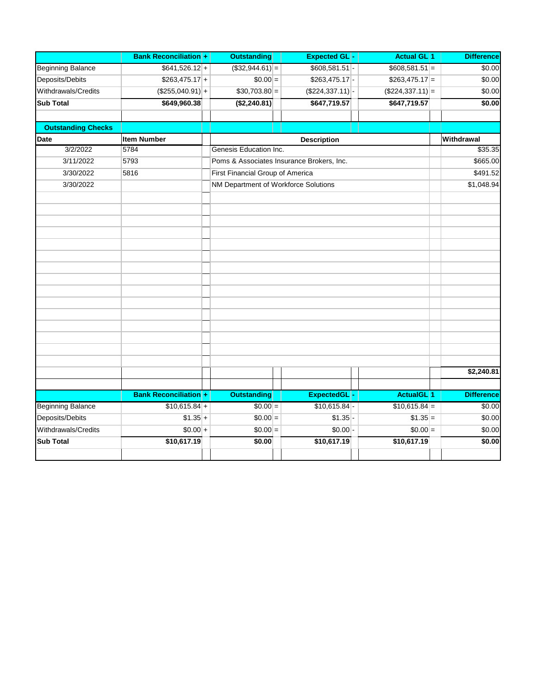|                           | <b>Bank Reconciliation +</b> | <b>Outstanding</b>                        | <b>Expected GL-</b>         | <b>Actual GL</b> 1 | <b>Difference</b> |
|---------------------------|------------------------------|-------------------------------------------|-----------------------------|--------------------|-------------------|
| <b>Beginning Balance</b>  | $$641,526.12$ +              | $($ \$32,944.61) $ =$                     | $$608,581.51$ -             | $$608,581.51$ =    | \$0.00            |
| Deposits/Debits           | $$263,475.17$ +              | $$0.00  =$                                | $$263,475.17$ -             | $$263,475.17$ =    | \$0.00            |
| Withdrawals/Credits       | $($255,040.91)$ +            | $$30,703.80 =$                            | $($ \$224,337.11) $\vert$ - | $($224,337.11)$ =  | \$0.00            |
| <b>Sub Total</b>          | \$649,960.38                 | (\$2,240.81)                              | \$647,719.57                | \$647,719.57       | \$0.00            |
|                           |                              |                                           |                             |                    |                   |
| <b>Outstanding Checks</b> |                              |                                           |                             |                    |                   |
| Date                      | <b>Item Number</b>           |                                           | <b>Description</b>          |                    | Withdrawal        |
| 3/2/2022                  | 5784                         | Genesis Education Inc.                    |                             |                    | \$35.35           |
| 3/11/2022                 | 5793                         | Poms & Associates Insurance Brokers, Inc. |                             |                    | \$665.00          |
| 3/30/2022                 | 5816                         | First Financial Group of America          |                             |                    | \$491.52          |
| 3/30/2022                 |                              | NM Department of Workforce Solutions      |                             |                    | \$1,048.94        |
|                           |                              |                                           |                             |                    |                   |
|                           |                              |                                           |                             |                    |                   |
|                           |                              |                                           |                             |                    |                   |
|                           |                              |                                           |                             |                    |                   |
|                           |                              |                                           |                             |                    |                   |
|                           |                              |                                           |                             |                    |                   |
|                           |                              |                                           |                             |                    |                   |
|                           |                              |                                           |                             |                    |                   |
|                           |                              |                                           |                             |                    |                   |
|                           |                              |                                           |                             |                    |                   |
|                           |                              |                                           |                             |                    |                   |
|                           |                              |                                           |                             |                    |                   |
|                           |                              |                                           |                             |                    |                   |
|                           |                              |                                           |                             |                    |                   |
|                           |                              |                                           |                             |                    |                   |
|                           |                              |                                           |                             |                    | \$2,240.81        |
|                           |                              |                                           |                             |                    |                   |
|                           | <b>Bank Reconciliation +</b> | <b>Outstanding</b>                        | ExpectedGL-                 | <b>ActualGL</b> 1  | <b>Difference</b> |
| <b>Beginning Balance</b>  | $$10,615.84 +$               | $$0.00 =$                                 | $$10,615.84$ -              | $$10,615.84$ =     | \$0.00            |
| Deposits/Debits           | $$1.35 +$                    | $$0.00 =$                                 | $$1.35$ -                   | $$1.35$ =          | \$0.00            |
| Withdrawals/Credits       | $$0.00 +$                    | $$0.00 =$                                 | $$0.00$ -                   | $$0.00 =$          | \$0.00            |
| <b>Sub Total</b>          | \$10,617.19                  | \$0.00                                    | \$10,617.19                 | \$10,617.19        | \$0.00            |
|                           |                              |                                           |                             |                    |                   |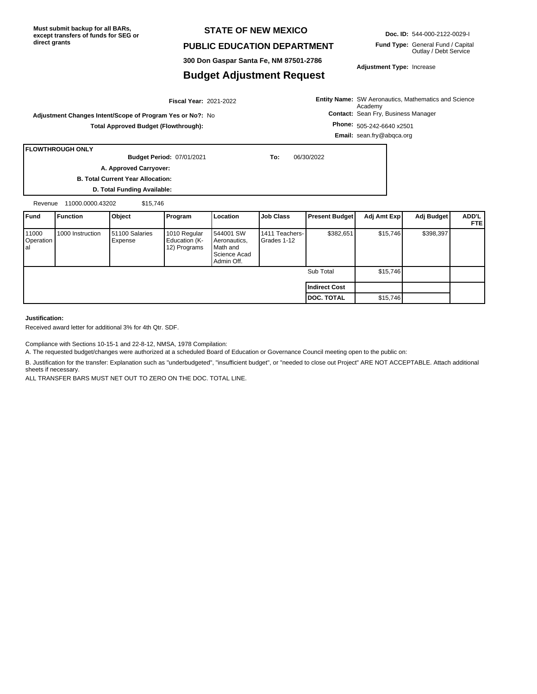**Must submit backup for all BARs, except transfers of funds for SEG or direct grants**

### **STATE OF NEW MEXICO**

### **PUBLIC EDUCATION DEPARTMENT**

**300 Don Gaspar Santa Fe, NM 87501-2786**

### **Budget Adjustment Request**

**Doc. ID:** 544-000-2122-0029-I

**Fund Type:** General Fund / Capital Outlay / Debt Service

**Adjustment Type:** Increase

**Entity Name:** SW Aeronautics, Mathematics and Science **Contact:** Sean Fry, Business Manager Academy

**Adjustment Changes Intent/Scope of Program Yes or No?:** No **Total Approved Budget (Flowthrough):**

**Phone:** 505-242-6640 x2501 **Email:** sean.fry@abqca.org

**FLOWTHROUGH ONLY**

**Budget Period:**

07/01/2021 **To:** 06/30/2022

**A. Approved Carryover:** 

**B. Total Current Year Allocation: D. Total Funding Available:**

Revenue 11000.0000.43202 \$15,746

| <b>Fund</b>               | Function         | Object                    | Program                                       | Location                                                            | <b>Job Class</b>                | <b>Present Budget</b> | Adj Amt Exp | Adj Budget | ADD'L<br><b>FTEI</b> |
|---------------------------|------------------|---------------------------|-----------------------------------------------|---------------------------------------------------------------------|---------------------------------|-----------------------|-------------|------------|----------------------|
| 11000<br>Operation<br>lal | 1000 Instruction | 51100 Salaries<br>Expense | 1010 Regular<br>Education (K-<br>12) Programs | 544001 SW<br>Aeronautics,<br>Math and<br>Science Acad<br>Admin Off. | 1411 Teachers-<br>l Grades 1-12 | \$382,651             | \$15,746    | \$398,397  |                      |
|                           |                  |                           |                                               |                                                                     |                                 | Sub Total             | \$15,746    |            |                      |
|                           |                  |                           |                                               |                                                                     |                                 | Indirect Cost         |             |            |                      |
|                           |                  |                           |                                               |                                                                     |                                 | <b>DOC. TOTAL</b>     | \$15,746    |            |                      |

#### **Justification:**

Received award letter for additional 3% for 4th Qtr. SDF.

Compliance with Sections 10-15-1 and 22-8-12, NMSA, 1978 Compilation:

A. The requested budget/changes were authorized at a scheduled Board of Education or Governance Council meeting open to the public on:

B. Justification for the transfer: Explanation such as "underbudgeted", "insufficient budget", or "needed to close out Project" ARE NOT ACCEPTABLE. Attach additional sheets if necessary.

ALL TRANSFER BARS MUST NET OUT TO ZERO ON THE DOC. TOTAL LINE.



2021-2022 **Fiscal Year:**